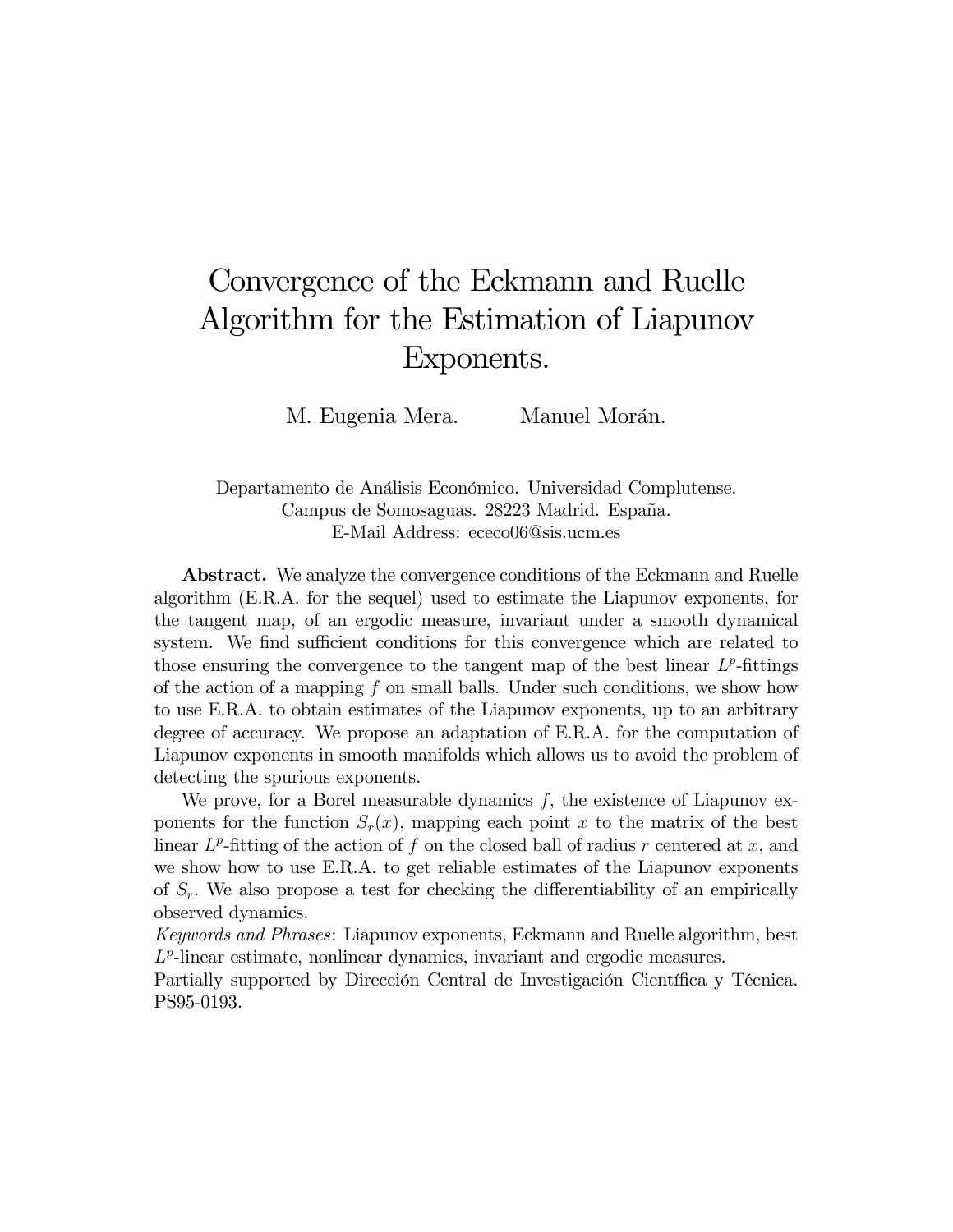# Convergence of the Eckmann and Ruelle Algorithm for the Estimation of Liapunov Exponents.

M. Eugenia Mera. Manuel Morán.

Departamento de Análisis Económico. Universidad Complutense. Campus de Somosaguas. 28223 Madrid. España. E-Mail Address: ececo06@sis.ucm.es

Abstract. We analyze the convergence conditions of the Eckmann and Ruelle algorithm (E.R.A. for the sequel) used to estimate the Liapunov exponents, for the tangent map, of an ergodic measure, invariant under a smooth dynamical system. We find sufficient conditions for this convergence which are related to those ensuring the convergence to the tangent map of the best linear  $L^p$ -fittings of the action of a mapping f on small balls. Under such conditions, we show how to use E.R.A. to obtain estimates of the Liapunov exponents, up to an arbitrary degree of accuracy. We propose an adaptation of E.R.A. for the computation of Liapunov exponents in smooth manifolds which allows us to avoid the problem of detecting the spurious exponents.

We prove, for a Borel measurable dynamics  $f$ , the existence of Liapunov exponents for the function  $S_r(x)$ , mapping each point x to the matrix of the best linear  $L^p$ -fitting of the action of f on the closed ball of radius r centered at x, and we show how to use E.R.A. to get reliable estimates of the Liapunov exponents of  $S_r$ . We also propose a test for checking the differentiability of an empirically observed dynamics.

Keywords and Phrases: Liapunov exponents, Eckmann and Ruelle algorithm, best  $L^p$ -linear estimate, nonlinear dynamics, invariant and ergodic measures.

Partially supported by Dirección Central de Investigación Científica y Técnica. PS95-0193.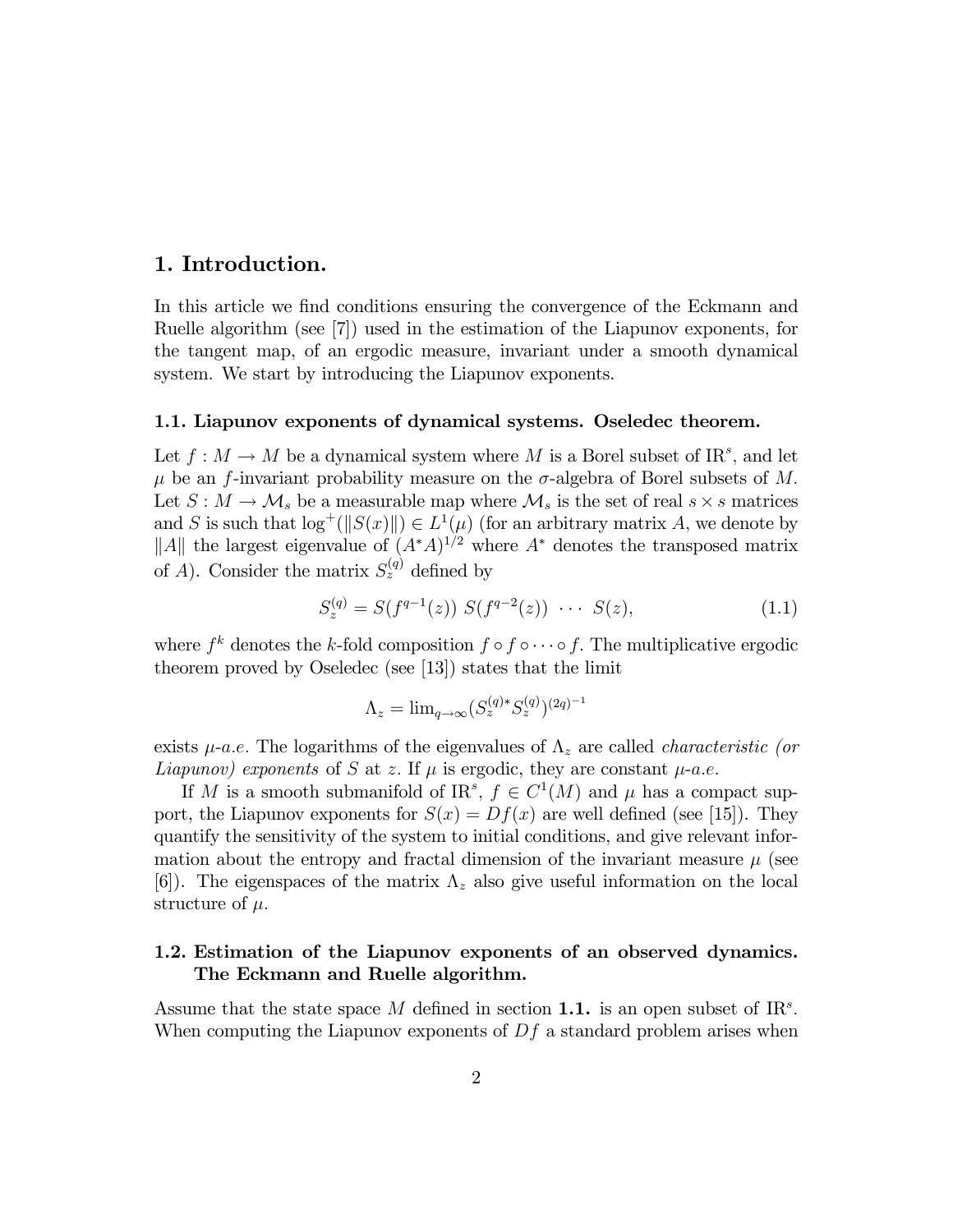# 1. Introduction.

In this article we find conditions ensuring the convergence of the Eckmann and Ruelle algorithm (see [7]) used in the estimation of the Liapunov exponents, for the tangent map, of an ergodic measure, invariant under a smooth dynamical system. We start by introducing the Liapunov exponents.

# 1.1. Liapunov exponents of dynamical systems. Oseledec theorem.

Let  $f : M \to M$  be a dynamical system where M is a Borel subset of IR<sup>s</sup>, and let  $\mu$  be an f-invariant probability measure on the  $\sigma$ -algebra of Borel subsets of M. Let  $S : M \to M_s$  be a measurable map where  $M_s$  is the set of real  $s \times s$  matrices and S is such that  $\log^+(||S(x)||) \in L^1(\mu)$  (for an arbitrary matrix A, we denote by ||A|| the largest eigenvalue of  $(A^*A)^{1/2}$  where  $A^*$  denotes the transposed matrix of A). Consider the matrix  $S_z^{(q)}$  defined by

$$
S_z^{(q)} = S(f^{q-1}(z)) S(f^{q-2}(z)) \cdots S(z), \qquad (1.1)
$$

where  $f^k$  denotes the k-fold composition  $f \circ f \circ \cdots \circ f$ . The multiplicative ergodic theorem proved by Oseledec (see [13]) states that the limit

$$
\Lambda_z = \lim_{q \to \infty} (S_z^{(q)*} S_z^{(q)})^{(2q)^{-1}}
$$

exists  $\mu$ -a.e. The logarithms of the eigenvalues of  $\Lambda_z$  are called *characteristic (or* Liapunov) exponents of S at z. If  $\mu$  is ergodic, they are constant  $\mu$ -a.e.

If M is a smooth submanifold of IR<sup>s</sup>,  $f \in C^1(M)$  and  $\mu$  has a compact support, the Liapunov exponents for  $S(x) = Df(x)$  are well defined (see [15]). They quantify the sensitivity of the system to initial conditions, and give relevant information about the entropy and fractal dimension of the invariant measure  $\mu$  (see [6]). The eigenspaces of the matrix  $\Lambda_z$  also give useful information on the local structure of  $\mu$ .

### 1.2. Estimation of the Liapunov exponents of an observed dynamics. The Eckmann and Ruelle algorithm.

Assume that the state space M defined in section 1.1. is an open subset of  $\mathbb{R}^s$ . When computing the Liapunov exponents of  $Df$  a standard problem arises when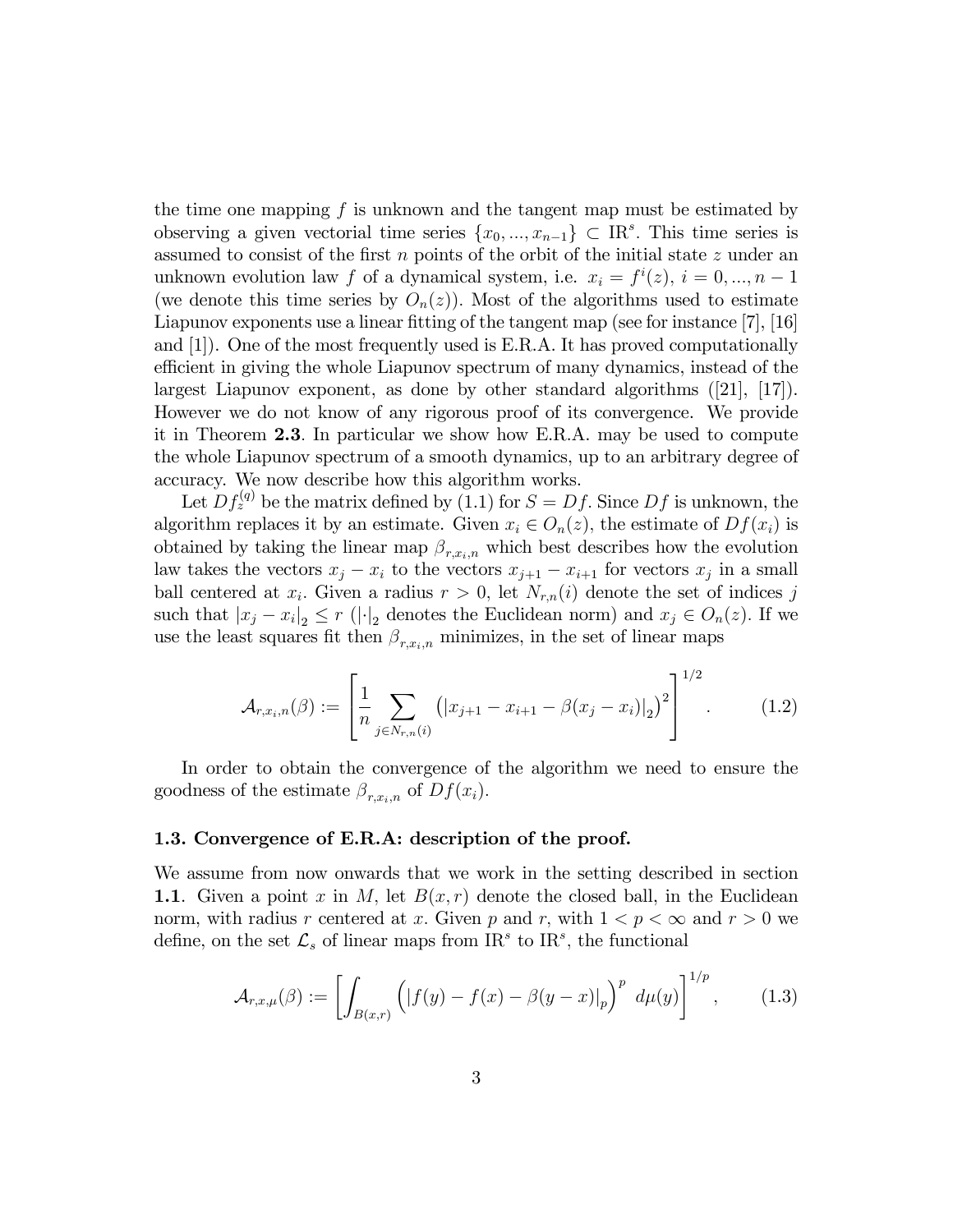the time one mapping  $f$  is unknown and the tangent map must be estimated by observing a given vectorial time series  $\{x_0, ..., x_{n-1}\} \subset \mathbb{R}^s$ . This time series is assumed to consist of the first  $n$  points of the orbit of the initial state  $z$  under an unknown evolution law f of a dynamical system, i.e.  $x_i = f^i(z)$ ,  $i = 0, ..., n - 1$ (we denote this time series by  $O_n(z)$ ). Most of the algorithms used to estimate Liapunov exponents use a linear fitting of the tangent map (see for instance  $[7]$ ,  $[16]$ ) and [1]). One of the most frequently used is E.R.A. It has proved computationally efficient in giving the whole Liapunov spectrum of many dynamics, instead of the largest Liapunov exponent, as done by other standard algorithms ([21], [17]). However we do not know of any rigorous proof of its convergence. We provide it in Theorem 2.3: In particular we show how E.R.A. may be used to compute the whole Liapunov spectrum of a smooth dynamics, up to an arbitrary degree of accuracy. We now describe how this algorithm works.

Let  $Df_z^{(q)}$  be the matrix defined by (1.1) for  $S = Df$ . Since  $Df$  is unknown, the algorithm replaces it by an estimate. Given  $x_i \in O_n(z)$ , the estimate of  $Df(x_i)$  is obtained by taking the linear map  $\beta_{r,x_i,n}$  which best describes how the evolution law takes the vectors  $x_j - x_i$  to the vectors  $x_{j+1} - x_{i+1}$  for vectors  $x_j$  in a small ball centered at  $x_i$ . Given a radius  $r > 0$ , let  $N_{r,n}(i)$  denote the set of indices j such that  $|x_j - x_i|_2 \leq r \left( \left| \cdot \right|_2$  denotes the Euclidean norm) and  $x_j \in O_n(z)$ . If we use the least squares fit then  $\beta_{r,x_i,n}$  minimizes, in the set of linear maps

$$
\mathcal{A}_{r,x_i,n}(\beta) := \left[ \frac{1}{n} \sum_{j \in N_{r,n}(i)} \left( |x_{j+1} - x_{i+1} - \beta(x_j - x_i)|_2 \right)^2 \right]^{1/2}.
$$
 (1.2)

In order to obtain the convergence of the algorithm we need to ensure the goodness of the estimate  $\beta_{r,x_i,n}$  of  $Df(x_i)$ .

#### 1.3. Convergence of E.R.A: description of the proof.

We assume from now onwards that we work in the setting described in section 1.1. Given a point x in M, let  $B(x, r)$  denote the closed ball, in the Euclidean norm, with radius r centered at x. Given p and r, with  $1 < p < \infty$  and  $r > 0$  we define, on the set  $\mathcal{L}_s$  of linear maps from  $\text{IR}^s$  to  $\text{IR}^s$ , the functional

$$
\mathcal{A}_{r,x,\mu}(\beta) := \left[ \int_{B(x,r)} \left( |f(y) - f(x) - \beta(y-x)|_p \right)^p d\mu(y) \right]^{1/p}, \quad (1.3)
$$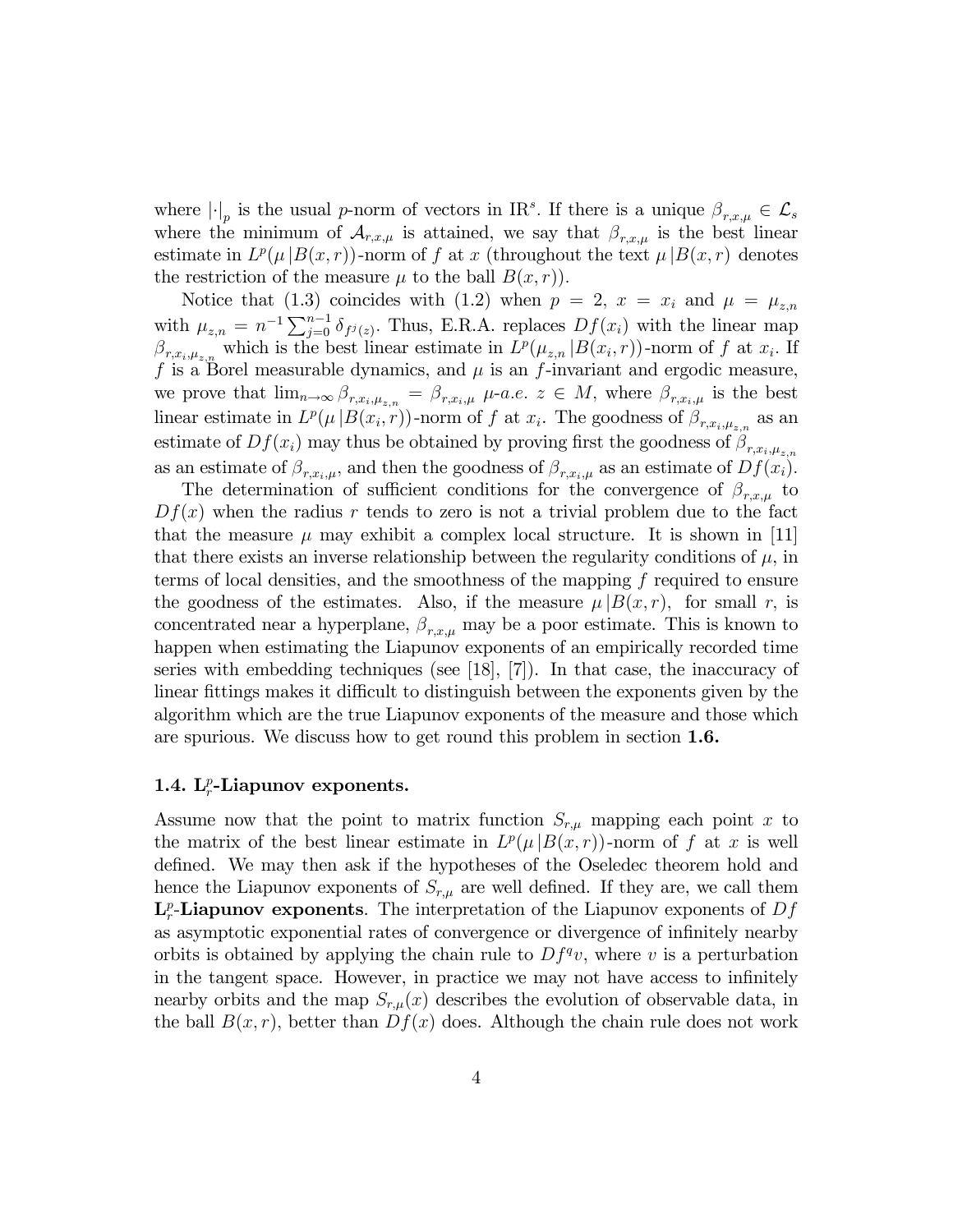where  $|\cdot|_p$  is the usual p-norm of vectors in IR<sup>s</sup>. If there is a unique  $\beta_{r,x,\mu} \in \mathcal{L}_s$ where the minimum of  $\mathcal{A}_{r,x,\mu}$  is attained, we say that  $\beta_{r,x,\mu}$  is the best linear estimate in  $L^p(\mu|B(x,r))$ -norm of f at x (throughout the text  $\mu|B(x,r)$  denotes the restriction of the measure  $\mu$  to the ball  $B(x, r)$ .

Notice that (1.3) coincides with (1.2) when  $p = 2$ ,  $x = x_i$  and  $\mu = \mu_{z,n}$ with  $\mu_{z,n} = n^{-1} \sum_{j=0}^{n-1} \delta_{f^j(z)}$ . Thus, E.R.A. replaces  $Df(x_i)$  with the linear map  $\beta_{r,x_i,\mu_{z,n}}$  which is the best linear estimate in  $L^p(\mu_{z,n} | B(x_i,r))$ -norm of f at  $x_i$ . If f is a Borel measurable dynamics, and  $\mu$  is an f-invariant and ergodic measure, we prove that  $\lim_{n\to\infty} \beta_{r,x_i,\mu_{z,n}} = \beta_{r,x_i,\mu}$   $\mu$ -*a.e.*  $z \in M$ , where  $\beta_{r,x_i,\mu}$  is the best linear estimate in  $L^p(\mu | B(x_i, r))$ -norm of f at  $x_i$ . The goodness of  $\beta_{r, x_i, \mu_{z,n}}$  as an estimate of  $Df(x_i)$  may thus be obtained by proving first the goodness of  $\beta_{r,x_i,\mu_{z,n}}$ as an estimate of  $\beta_{r,x_i,\mu}$ , and then the goodness of  $\beta_{r,x_i,\mu}$  as an estimate of  $Df(x_i)$ .

The determination of sufficient conditions for the convergence of  $\beta_{r,x,\mu}$  to  $Df(x)$  when the radius r tends to zero is not a trivial problem due to the fact that the measure  $\mu$  may exhibit a complex local structure. It is shown in [11] that there exists an inverse relationship between the regularity conditions of  $\mu$ , in terms of local densities, and the smoothness of the mapping  $f$  required to ensure the goodness of the estimates. Also, if the measure  $\mu |B(x, r)$ , for small r, is concentrated near a hyperplane,  $\beta_{r,x,\mu}$  may be a poor estimate. This is known to happen when estimating the Liapunov exponents of an empirically recorded time series with embedding techniques (see [18], [7]). In that case, the inaccuracy of linear fittings makes it difficult to distinguish between the exponents given by the algorithm which are the true Liapunov exponents of the measure and those which are spurious. We discuss how to get round this problem in section 1.6.

# 1.4.  $L_r^p$ -Liapunov exponents.

Assume now that the point to matrix function  $S_{r,\mu}$  mapping each point x to the matrix of the best linear estimate in  $L^p(\mu|B(x,r))$ -norm of f at x is well defined. We may then ask if the hypotheses of the Oseledec theorem hold and hence the Liapunov exponents of  $S_{r,\mu}$  are well defined. If they are, we call them  $\mathbf{L}_r^p$ -Liapunov exponents. The interpretation of the Liapunov exponents of  $Df$ as asymptotic exponential rates of convergence or divergence of infinitely nearby orbits is obtained by applying the chain rule to  $Df^{q}v$ , where v is a perturbation in the tangent space. However, in practice we may not have access to infinitely nearby orbits and the map  $S_{r,\mu}(x)$  describes the evolution of observable data, in the ball  $B(x, r)$ , better than  $Df(x)$  does. Although the chain rule does not work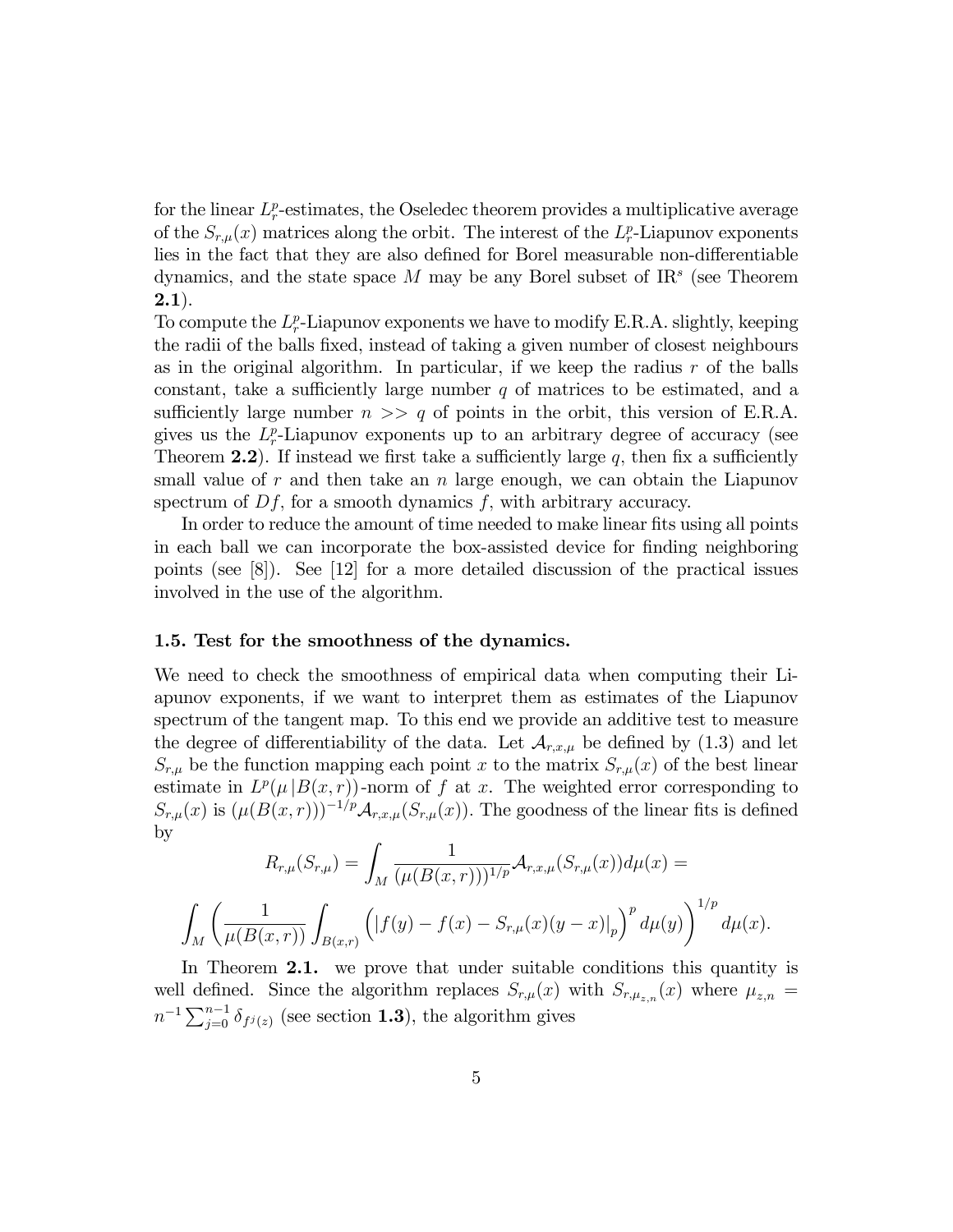for the linear  $L_r^p$ -estimates, the Oseledec theorem provides a multiplicative average of the  $S_{r,\mu}(x)$  matrices along the orbit. The interest of the  $L_r^p$ -Liapunov exponents lies in the fact that they are also defined for Borel measurable non-differentiable dynamics, and the state space  $M$  may be any Borel subset of  $IR<sup>s</sup>$  (see Theorem  $(2.1).$ 

To compute the  $L_r^p$ -Liapunov exponents we have to modify E.R.A. slightly, keeping the radii of the balls fixed, instead of taking a given number of closest neighbours as in the original algorithm. In particular, if we keep the radius  $r$  of the balls constant, take a sufficiently large number  $q$  of matrices to be estimated, and a sufficiently large number  $n \gg q$  of points in the orbit, this version of E.R.A. gives us the  $L_r^p$ -Liapunov exponents up to an arbitrary degree of accuracy (see Theorem 2.2). If instead we first take a sufficiently large  $q$ , then fix a sufficiently small value of r and then take an n large enough, we can obtain the Liapunov spectrum of  $Df$ , for a smooth dynamics  $f$ , with arbitrary accuracy.

In order to reduce the amount of time needed to make linear fits using all points in each ball we can incorporate the box-assisted device for Önding neighboring points (see [8]). See [12] for a more detailed discussion of the practical issues involved in the use of the algorithm.

#### 1.5. Test for the smoothness of the dynamics.

We need to check the smoothness of empirical data when computing their Liapunov exponents, if we want to interpret them as estimates of the Liapunov spectrum of the tangent map. To this end we provide an additive test to measure the degree of differentiability of the data. Let  $\mathcal{A}_{r,x,\mu}$  be defined by (1.3) and let  $S_{r,\mu}$  be the function mapping each point x to the matrix  $S_{r,\mu}(x)$  of the best linear estimate in  $L^p(\mu|B(x,r))$ -norm of f at x. The weighted error corresponding to  $S_{r,\mu}(x)$  is  $(\mu(B(x,r)))^{-1/p}A_{r,x,\mu}(S_{r,\mu}(x))$ . The goodness of the linear fits is defined by

$$
R_{r,\mu}(S_{r,\mu}) = \int_M \frac{1}{(\mu(B(x,r)))^{1/p}} \mathcal{A}_{r,x,\mu}(S_{r,\mu}(x)) d\mu(x) =
$$
  

$$
\int_M \left(\frac{1}{\mu(B(x,r))} \int_{B(x,r)} \left(|f(y) - f(x) - S_{r,\mu}(x)(y-x)|_p\right)^p d\mu(y)\right)^{1/p} d\mu(x).
$$

In Theorem 2.1. we prove that under suitable conditions this quantity is well defined. Since the algorithm replaces  $S_{r,\mu}(x)$  with  $S_{r,\mu_{z,n}}(x)$  where  $\mu_{z,n}$  $n^{-1} \sum_{j=0}^{n-1} \delta_{f^j(z)}$  (see section **1.3**), the algorithm gives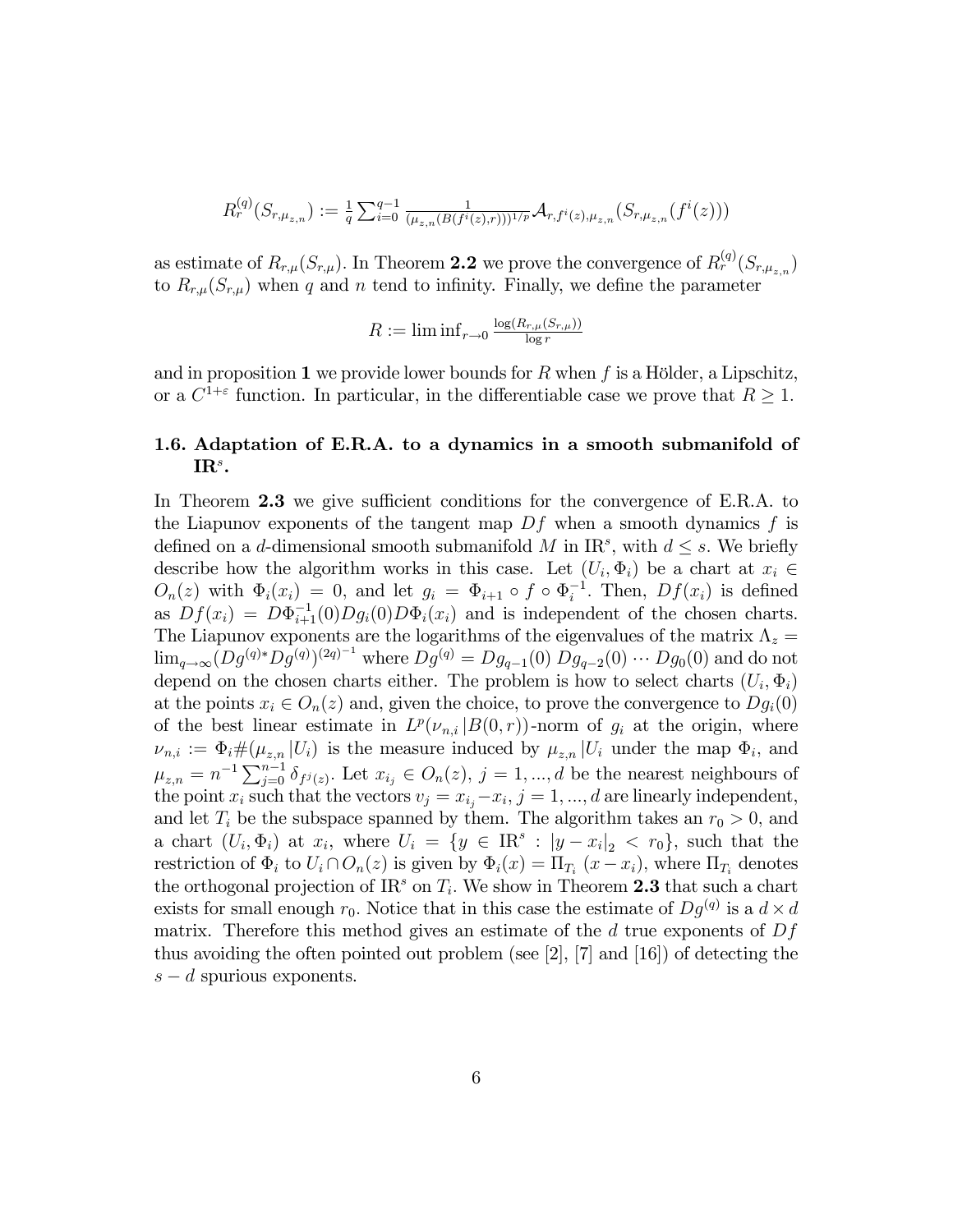$$
R_r^{(q)}(S_{r,\mu_{z,n}}) := \frac{1}{q} \sum_{i=0}^{q-1} \frac{1}{(\mu_{z,n}(B(f^i(z),r)))^{1/p}} \mathcal{A}_{r,f^i(z),\mu_{z,n}}(S_{r,\mu_{z,n}}(f^i(z)))
$$

as estimate of  $R_{r,\mu}(S_{r,\mu})$ . In Theorem 2.2 we prove the convergence of  $R_r^{(q)}(S_{r,\mu_{z,n}})$ to  $R_{r,\mu}(S_{r,\mu})$  when q and n tend to infinity. Finally, we define the parameter

$$
R := \liminf_{r \to 0} \frac{\log(R_{r,\mu}(S_{r,\mu}))}{\log r}
$$

and in proposition 1 we provide lower bounds for R when f is a Hölder, a Lipschitz, or a  $C^{1+\varepsilon}$  function. In particular, in the differentiable case we prove that  $R \geq 1$ .

# 1.6. Adaptation of E.R.A. to a dynamics in a smooth submanifold of  $\mathbf{IR}^s$ .

In Theorem 2.3 we give sufficient conditions for the convergence of E.R.A. to the Liapunov exponents of the tangent map  $Df$  when a smooth dynamics f is defined on a d-dimensional smooth submanifold M in  $\text{IR}^s$ , with  $d \leq s$ . We briefly describe how the algorithm works in this case. Let  $(U_i, \Phi_i)$  be a chart at  $x_i \in$  $O_n(z)$  with  $\Phi_i(x_i) = 0$ , and let  $g_i = \Phi_{i+1} \circ f \circ \Phi_i^{-1}$ . Then,  $Df(x_i)$  is defined as  $Df(x_i) = D\Phi_{i+1}^{-1}(0)Dg_i(0)D\Phi_i(x_i)$  and is independent of the chosen charts. The Liapunov exponents are the logarithms of the eigenvalues of the matrix  $\Lambda_z =$  $\lim_{q \to \infty} (Dg^{(q)} Dg^{(q)})^{(2q)-1}$  where  $Dg^{(q)} = Dg_{q-1}(0) Dg_{q-2}(0) \cdots Dg_0(0)$  and do not depend on the chosen charts either. The problem is how to select charts  $(U_i, \Phi_i)$ at the points  $x_i \in O_n(z)$  and, given the choice, to prove the convergence to  $Dg_i(0)$ of the best linear estimate in  $L^p(\nu_{n,i} | B(0,r))$ -norm of  $g_i$  at the origin, where  $\nu_{n,i} := \Phi_i \# (\mu_{z,n} | U_i)$  is the measure induced by  $\mu_{z,n} | U_i$  under the map  $\Phi_i$ , and  $\mu_{z,n} = n^{-1} \sum_{j=0}^{n-1} \delta_{f^j(z)}$ . Let  $x_{i_j} \in O_n(z)$ ,  $j = 1, ..., d$  be the nearest neighbours of the point  $x_i$  such that the vectors  $v_j = x_{i_j} - x_i$ ,  $j = 1, ..., d$  are linearly independent, and let  $T_i$  be the subspace spanned by them. The algorithm takes an  $r_0 > 0$ , and a chart  $(U_i, \Phi_i)$  at  $x_i$ , where  $U_i = \{y \in \text{IR}^s : |y - x_i|_2 < r_0\}$ , such that the restriction of  $\Phi_i$  to  $U_i \cap O_n(z)$  is given by  $\Phi_i(x) = \Pi_{T_i}(x - x_i)$ , where  $\Pi_{T_i}$  denotes the orthogonal projection of  $\text{IR}^s$  on  $T_i$ . We show in Theorem 2.3 that such a chart exists for small enough  $r_0$ . Notice that in this case the estimate of  $Dg^{(q)}$  is a  $d \times d$ matrix. Therefore this method gives an estimate of the  $d$  true exponents of  $Df$ thus avoiding the often pointed out problem (see [2], [7] and [16]) of detecting the  $s - d$  spurious exponents.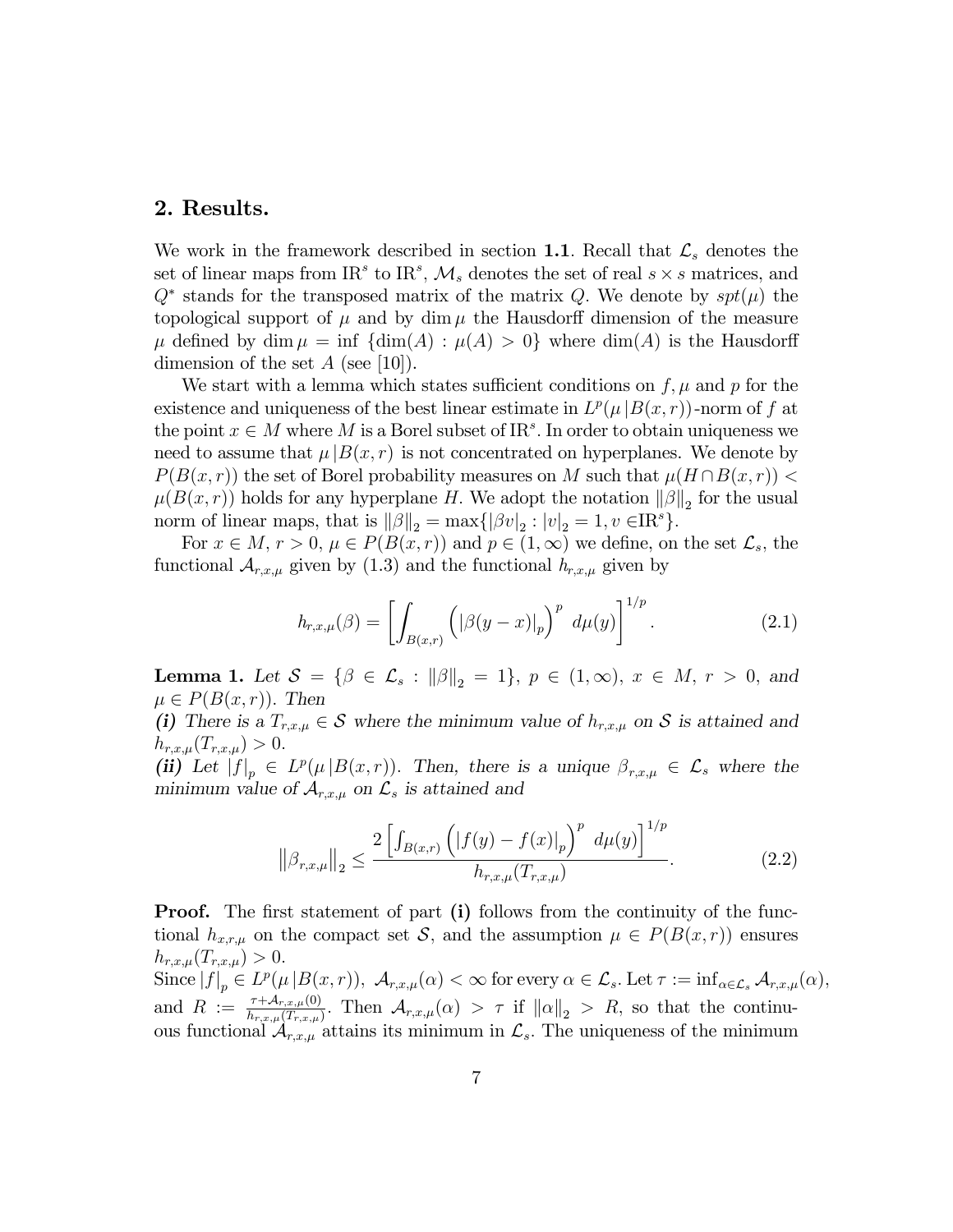# 2. Results.

We work in the framework described in section 1.1. Recall that  $\mathcal{L}_s$  denotes the set of linear maps from IR<sup>s</sup> to IR<sup>s</sup>,  $\mathcal{M}_s$  denotes the set of real  $s \times s$  matrices, and  $Q^*$  stands for the transposed matrix of the matrix Q. We denote by  $spt(\mu)$  the topological support of  $\mu$  and by dim  $\mu$  the Hausdorff dimension of the measure  $\mu$  defined by dim  $\mu = \inf \{ \dim(A) : \mu(A) > 0 \}$  where  $\dim(A)$  is the Hausdorff dimension of the set  $A$  (see [10]).

We start with a lemma which states sufficient conditions on  $f, \mu$  and p for the existence and uniqueness of the best linear estimate in  $L^p(\mu|B(x,r))$ -norm of f at the point  $x \in M$  where M is a Borel subset of IR<sup>s</sup>. In order to obtain uniqueness we need to assume that  $\mu |B(x, r)|$  is not concentrated on hyperplanes. We denote by  $P(B(x, r))$  the set of Borel probability measures on M such that  $\mu(H \cap B(x, r))$  <  $\mu(B(x,r))$  holds for any hyperplane H. We adopt the notation  $\|\beta\|_2$  for the usual norm of linear maps, that is  $\|\beta\|_2 = \max\{|\beta v|_2 : |v|_2 = 1, v \in \mathbb{R}^s\}.$ 

For  $x \in M$ ,  $r > 0$ ,  $\mu \in P(B(x, r))$  and  $p \in (1, \infty)$  we define, on the set  $\mathcal{L}_s$ , the functional  $A_{r,x,\mu}$  given by (1.3) and the functional  $h_{r,x,\mu}$  given by

$$
h_{r,x,\mu}(\beta) = \left[ \int_{B(x,r)} \left( \left| \beta(y-x) \right|_p \right)^p d\mu(y) \right]^{1/p} . \tag{2.1}
$$

**Lemma 1.** Let  $S = \{ \beta \in \mathcal{L}_s : ||\beta||_2 = 1 \}$ ,  $p \in (1, \infty)$ ,  $x \in M$ ,  $r > 0$ , and  $\mu \in P(B(x,r))$ . Then

(i) There is a  $T_{r,x,\mu} \in \mathcal{S}$  where the minimum value of  $h_{r,x,\mu}$  on  $\mathcal{S}$  is attained and  $h_{r,x,\mu}(T_{r,x,\mu}) > 0.$ 

(ii) Let  $|f|_p \in L^p(\mu|B(x,r))$ . Then, there is a unique  $\beta_{r,x,\mu} \in \mathcal{L}_s$  where the minimum value of  $\mathcal{A}_{r,x,\mu}$  on  $\mathcal{L}_s$  is attained and

$$
\left\|\beta_{r,x,\mu}\right\|_{2} \le \frac{2\left[\int_{B(x,r)} \left(|f(y) - f(x)|_{p}\right)^{p} d\mu(y)\right]^{1/p}}{h_{r,x,\mu}(T_{r,x,\mu})}.
$$
(2.2)

**Proof.** The first statement of part (i) follows from the continuity of the functional  $h_{x,r,\mu}$  on the compact set S, and the assumption  $\mu \in P(B(x,r))$  ensures  $h_{r,x,\mu}(T_{r,x,\mu}) > 0.$ 

Since  $|f|_p \in L^p(\mu | B(x,r))$ ,  $\mathcal{A}_{r,x,\mu}(\alpha) < \infty$  for every  $\alpha \in \mathcal{L}_s$ . Let  $\tau := \inf_{\alpha \in \mathcal{L}_s} \mathcal{A}_{r,x,\mu}(\alpha)$ , and  $R := \frac{\tau + \mathcal{A}_{r,x,\mu}(0)}{h_{r,x,\mu}(T_{r,x,\mu})}$ . Then  $\mathcal{A}_{r,x,\mu}(\alpha) > \tau$  if  $||\alpha||_2 > R$ , so that the continuous functional  $\mathcal{A}_{r,x,\mu}$  attains its minimum in  $\mathcal{L}_s$ . The uniqueness of the minimum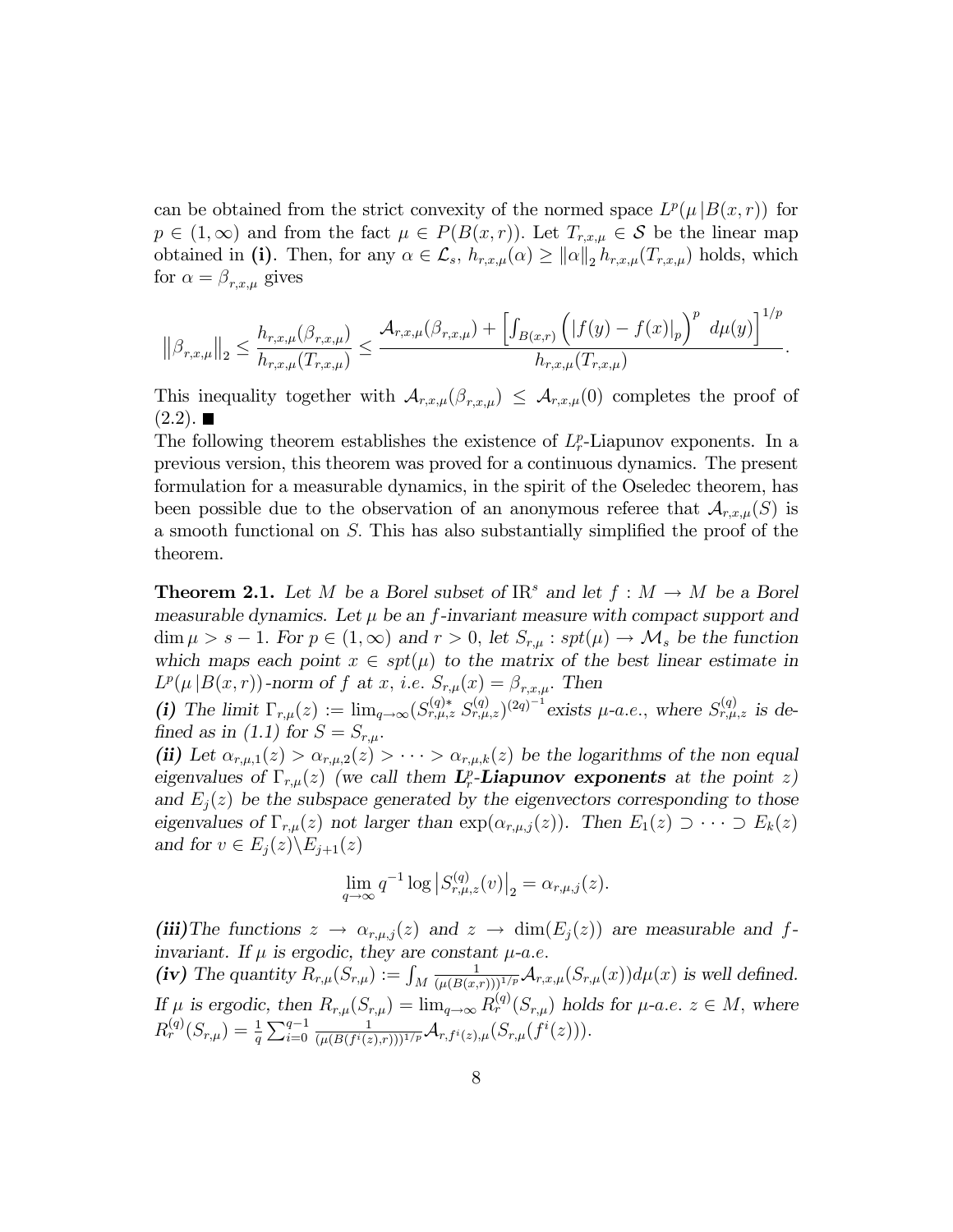can be obtained from the strict convexity of the normed space  $L^p(\mu|B(x,r))$  for  $p \in (1,\infty)$  and from the fact  $\mu \in P(B(x,r))$ . Let  $T_{r,x,\mu} \in \mathcal{S}$  be the linear map obtained in (i). Then, for any  $\alpha \in \mathcal{L}_s$ ,  $h_{r,x,\mu}(\alpha) \geq ||\alpha||_2 h_{r,x,\mu}(T_{r,x,\mu})$  holds, which for  $\alpha = \beta_{r,x,\mu}$  gives

$$
\left\|\beta_{r,x,\mu}\right\|_2 \leq \frac{h_{r,x,\mu}(\beta_{r,x,\mu})}{h_{r,x,\mu}(T_{r,x,\mu})} \leq \frac{\mathcal{A}_{r,x,\mu}(\beta_{r,x,\mu}) + \left[\int_{B(x,r)} \left(|f(y)-f(x)|_p\right)^p \ d\mu(y)\right]^{1/p}}{h_{r,x,\mu}(T_{r,x,\mu})}.
$$

This inequality together with  $\mathcal{A}_{r,x,\mu}(\beta_{r,x,\mu}) \leq \mathcal{A}_{r,x,\mu}(0)$  completes the proof of  $(2.2)$ .

The following theorem establishes the existence of  $L_r^p$ -Liapunov exponents. In a previous version, this theorem was proved for a continuous dynamics. The present formulation for a measurable dynamics, in the spirit of the Oseledec theorem, has been possible due to the observation of an anonymous referee that  $\mathcal{A}_{r,x,\mu}(S)$  is a smooth functional on  $S$ . This has also substantially simplified the proof of the theorem.

**Theorem 2.1.** Let M be a Borel subset of  $\text{IR}^s$  and let  $f : M \to M$  be a Borel measurable dynamics. Let  $\mu$  be an f-invariant measure with compact support and  $\dim \mu > s - 1$ . For  $p \in (1,\infty)$  and  $r > 0$ , let  $S_{r,\mu}: spt(\mu) \to \mathcal{M}_s$  be the function which maps each point  $x \in spt(\mu)$  to the matrix of the best linear estimate in  $L^p(\mu|B(x,r))$ -norm of f at x, i.e.  $S_{r,\mu}(x) = \beta_{r,x,\mu}$ . Then

(i) The limit  $\Gamma_{r,\mu}(z) := \lim_{q \to \infty} (S_{r,\mu,z}^{(q)*} S_{r,\mu,z}^{(q)})^{(2q)-1}$  exists  $\mu$ -a.e., where  $S_{r,\mu,z}^{(q)}$  is defined as in (1.1) for  $S = S_{r,\mu}$ .

(ii) Let  $\alpha_{r,\mu,1}(z) > \alpha_{r,\mu,2}(z) > \cdots > \alpha_{r,\mu,k}(z)$  be the logarithms of the non equal eigenvalues of  $\Gamma_{r,\mu}(z)$  (we call them  $\mathbf{L}_r^p$ -**Liapunov exponents** at the point z) and  $E_i(z)$  be the subspace generated by the eigenvectors corresponding to those eigenvalues of  $\Gamma_{r,\mu}(z)$  not larger than  $\exp(\alpha_{r,\mu,j}(z))$ . Then  $E_1(z) \supset \cdots \supset E_k(z)$ and for  $v \in E_j(z) \backslash E_{j+1}(z)$ 

$$
\lim_{q \to \infty} q^{-1} \log |S_{r,\mu,z}^{(q)}(v)|_2 = \alpha_{r,\mu,j}(z).
$$

(iii) The functions  $z \to \alpha_{r,\mu,j}(z)$  and  $z \to \dim(E_j(z))$  are measurable and finvariant. If  $\mu$  is ergodic, they are constant  $\mu$ -a.e.

(iv) The quantity  $R_{r,\mu}(S_{r,\mu}) := \int_M$  $\frac{1}{(\mu(B(x,r)))^{1/p}}\mathcal{A}_{r,x,\mu}(S_{r,\mu}(x))d\mu(x)$  is well defined. If  $\mu$  is ergodic, then  $R_{r,\mu}(S_{r,\mu}) = \lim_{q \to \infty} R_r^{(q)}(S_{r,\mu})$  holds for  $\mu$ -a.e.  $z \in M$ , where  $R_r^{(q)}(S_{r,\mu}) = \frac{1}{q} \sum_{i=0}^{q-1}$ 1  $\frac{1}{(\mu(B(f^i(z),r)))^{1/p}}{\cal A}_{r,f^i(z),\mu}(S_{r,\mu}(f^i(z))).$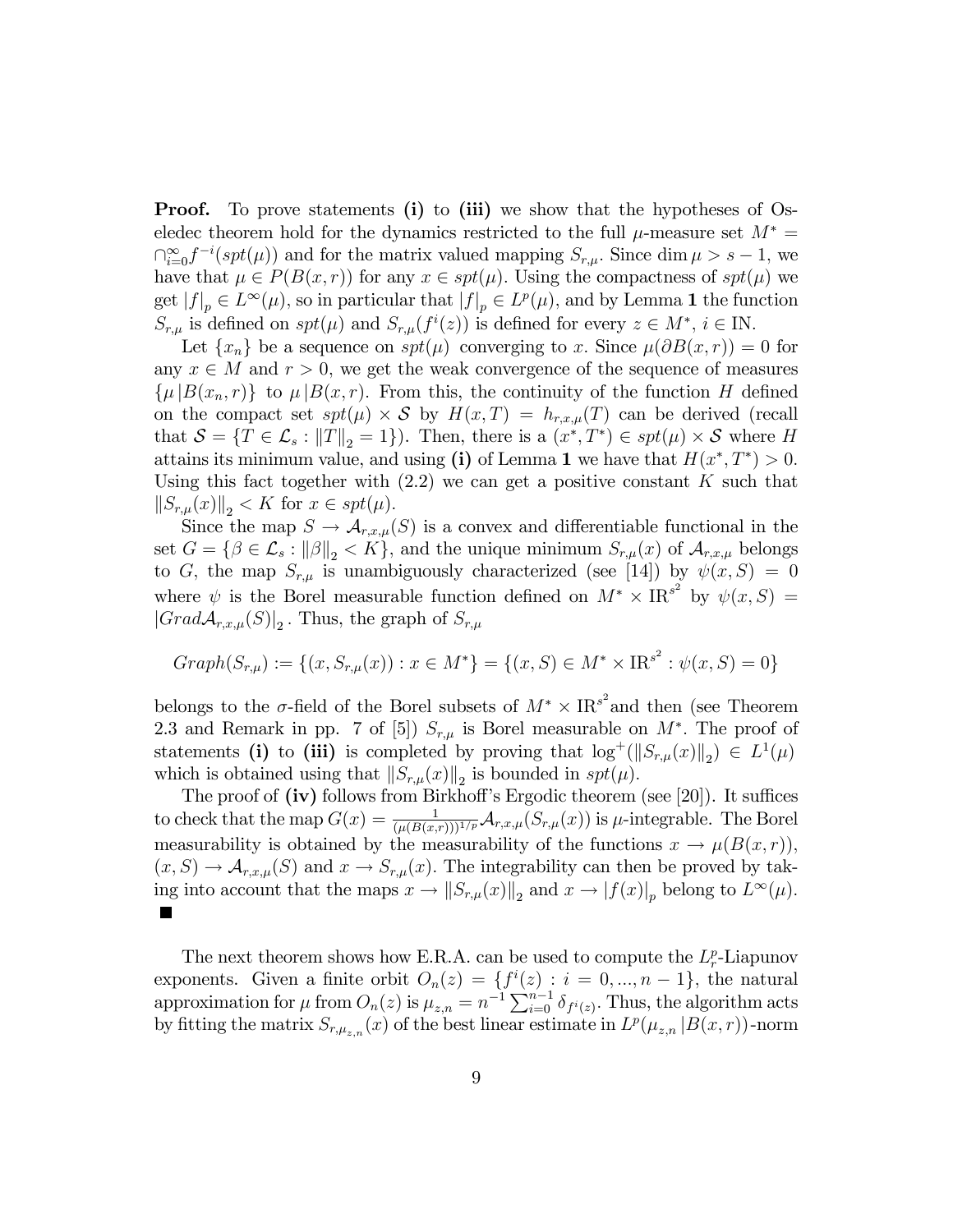**Proof.** To prove statements (i) to (iii) we show that the hypotheses of Oseledec theorem hold for the dynamics restricted to the full  $\mu$ -measure set  $M^* =$  $\bigcap_{i=0}^{\infty} f^{-i}(spt(\mu))$  and for the matrix valued mapping  $S_{r,\mu}$ . Since dim  $\mu > s - 1$ , we have that  $\mu \in P(B(x,r))$  for any  $x \in spt(\mu)$ . Using the compactness of  $spt(\mu)$  we get  $|f|_p \in L^{\infty}(\mu)$ , so in particular that  $|f|_p \in L^p(\mu)$ , and by Lemma 1 the function  $S_{r,\mu}$  is defined on  $spt(\mu)$  and  $S_{r,\mu}(f^i(z))$  is defined for every  $z \in M^*$ ,  $i \in \mathbb{N}$ .

Let  $\{x_n\}$  be a sequence on  $spt(\mu)$  converging to x. Since  $\mu(\partial B(x, r)) = 0$  for any  $x \in M$  and  $r > 0$ , we get the weak convergence of the sequence of measures  $\{\mu | B(x_n,r)\}\;$  to  $\mu | B(x,r)\;$ . From this, the continuity of the function H defined on the compact set  $spt(\mu) \times S$  by  $H(x,T) = h_{r,x,\mu}(T)$  can be derived (recall that  $\mathcal{S} = \{T \in \mathcal{L}_s : ||T||_2 = 1\}$ . Then, there is a  $(x^*, T^*) \in spt(\mu) \times \mathcal{S}$  where H attains its minimum value, and using (i) of Lemma 1 we have that  $H(x^*,T^*) > 0$ . Using this fact together with  $(2.2)$  we can get a positive constant K such that  $||S_{r,\mu}(x)||_2 < K$  for  $x \in spt(\mu)$ .

Since the map  $S \to \mathcal{A}_{r,x,\mu}(S)$  is a convex and differentiable functional in the set  $G = \{ \beta \in \mathcal{L}_s : ||\beta||_2 < K \}$ , and the unique minimum  $S_{r,\mu}(x)$  of  $\mathcal{A}_{r,x,\mu}$  belongs to G, the map  $S_{r,\mu}$  is unambiguously characterized (see [14]) by  $\psi(x, S) = 0$ where  $\psi$  is the Borel measurable function defined on  $M^* \times \text{IR}^{s^2}$  by  $\psi(x, S) =$  $|GradA_{r,x,\mu}(S)|_2$ . Thus, the graph of  $S_{r,\mu}$ 

$$
Graph(S_{r,\mu}) := \{(x, S_{r,\mu}(x)) : x \in M^*\} = \{(x, S) \in M^* \times \text{IR}^{s^2} : \psi(x, S) = 0\}
$$

belongs to the  $\sigma$ -field of the Borel subsets of  $M^* \times \text{IR}^{s^2}$  and then (see Theorem 2.3 and Remark in pp. 7 of [5])  $S_{r,\mu}$  is Borel measurable on  $M^*$ . The proof of statements (i) to (iii) is completed by proving that  $\log^+(||S_{r,\mu}(x)||_2) \in L^1(\mu)$ which is obtained using that  $||S_{r,\mu}(x)||_2$  is bounded in  $spt(\mu)$ .

The proof of  $(iv)$  follows from Birkhoff's Ergodic theorem (see [20]). It suffices to check that the map  $G(x) = \frac{1}{(\mu(B(x,r)))^{1/p}} \mathcal{A}_{r,x,\mu}(S_{r,\mu}(x))$  is  $\mu$ -integrable. The Borel measurability is obtained by the measurability of the functions  $x \to \mu(B(x,r))$ ,  $(x, S) \to \mathcal{A}_{r,x,\mu}(S)$  and  $x \to S_{r,\mu}(x)$ . The integrability can then be proved by taking into account that the maps  $x \to \|S_{r,\mu}(x)\|_2$  and  $x \to |f(x)|_p$  belong to  $L^{\infty}(\mu)$ . ×

The next theorem shows how E.R.A. can be used to compute the  $L_r^p$ -Liapunov exponents. Given a finite orbit  $O_n(z) = \{f^i(z) : i = 0, ..., n-1\}$ , the natural approximation for  $\mu$  from  $O_n(z)$  is  $\mu_{z,n} = n^{-1} \sum_{i=0}^{n-1} \delta_{f^i(z)}$ . Thus, the algorithm acts by fitting the matrix  $S_{r,\mu_{z,n}}(x)$  of the best linear estimate in  $L^p(\mu_{z,n}|B(x,r))$ -norm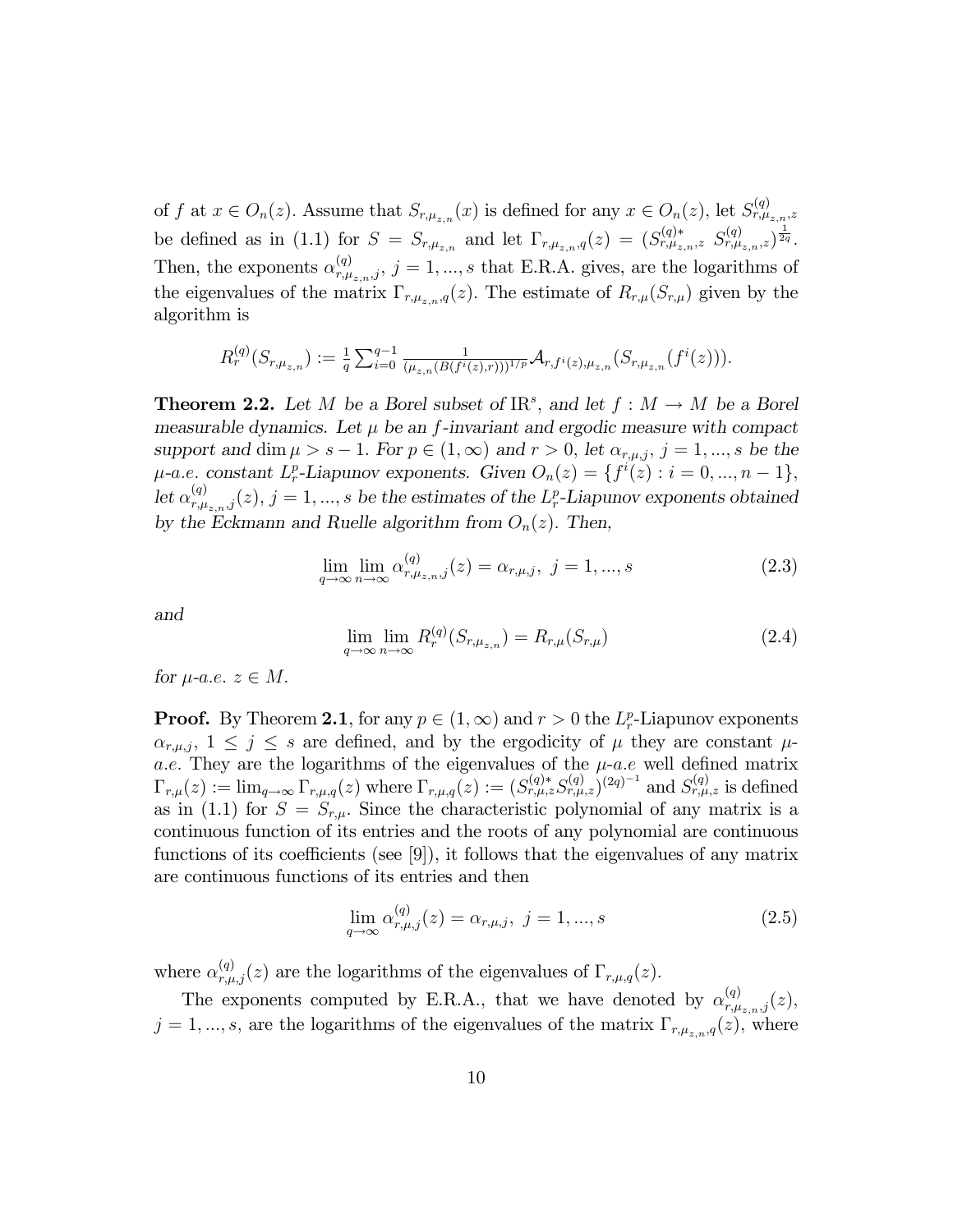of f at  $x \in O_n(z)$ . Assume that  $S_{r,\mu_{z,n}}(x)$  is defined for any  $x \in O_n(z)$ , let  $S_{r,\mu_{z,n},z}^{(q)}$ be defined as in (1.1) for  $S = S_{r,\mu_{z,n}}$  and let  $\Gamma_{r,\mu_{z,n},q}(z) = (S_{r,\mu_{z,n},z}^{(q)} S_{r,\mu_{z,n},z}^{(q)})^{\frac{1}{2q}}$ . Then, the exponents  $\alpha_{r,\mu_{z,n},j}^{(q)}$ ,  $j=1,...,s$  that E.R.A. gives, are the logarithms of the eigenvalues of the matrix  $\Gamma_{r,\mu_{z,n},q}(z)$ . The estimate of  $R_{r,\mu}(S_{r,\mu})$  given by the algorithm is

$$
R_r^{(q)}(S_{r,\mu_{z,n}}) := \frac{1}{q} \sum_{i=0}^{q-1} \frac{1}{(\mu_{z,n}(B(f^i(z),r)))^{1/p}} \mathcal{A}_{r,f^i(z),\mu_{z,n}}(S_{r,\mu_{z,n}}(f^i(z))).
$$

**Theorem 2.2.** Let M be a Borel subset of  $\text{IR}^s$ , and let  $f : M \to M$  be a Borel measurable dynamics. Let  $\mu$  be an f-invariant and ergodic measure with compact support and dim  $\mu > s - 1$ . For  $p \in (1,\infty)$  and  $r > 0$ , let  $\alpha_{r,\mu,j}$ ,  $j = 1, ..., s$  be the  $\mu$ -a.e. constant  $L_r^p$ -Liapunov exponents. Given  $O_n(z) = \{f^i(z) : i = 0, ..., n-1\},\$ let  $\alpha_{r,\mu_{z,n},j}^{(q)}(z), j = 1,...,s$  be the estimates of the  $L_r^p$ -Liapunov exponents obtained by the Eckmann and Ruelle algorithm from  $O_n(z)$ . Then,

$$
\lim_{q \to \infty} \lim_{n \to \infty} \alpha_{r,\mu_{z,n},j}^{(q)}(z) = \alpha_{r,\mu,j}, \ j = 1, ..., s
$$
\n(2.3)

and

$$
\lim_{q \to \infty} \lim_{n \to \infty} R_r^{(q)}(S_{r,\mu_{z,n}}) = R_{r,\mu}(S_{r,\mu})
$$
\n(2.4)

for  $\mu$ -a.e.  $z \in M$ .

**Proof.** By Theorem 2.1, for any  $p \in (1,\infty)$  and  $r > 0$  the  $L_r^p$ -Liapunov exponents  $\alpha_{r,\mu,j}$ ,  $1 \leq j \leq s$  are defined, and by the ergodicity of  $\mu$  they are constant  $\mu$ a.e. They are the logarithms of the eigenvalues of the  $\mu$ -a.e well defined matrix  $\Gamma_{r,\mu}(z) := \lim_{q \to \infty} \Gamma_{r,\mu,q}(z)$  where  $\Gamma_{r,\mu,q}(z) := (S_{r,\mu,z}^{(q)*} S_{r,\mu,z}^{(q)})^{(2q)^{-1}}$  and  $S_{r,\mu,z}^{(q)}$  is defined as in (1.1) for  $S = S_{r,\mu}$ . Since the characteristic polynomial of any matrix is a continuous function of its entries and the roots of any polynomial are continuous functions of its coefficients (see [9]), it follows that the eigenvalues of any matrix are continuous functions of its entries and then

$$
\lim_{q \to \infty} \alpha_{r,\mu,j}^{(q)}(z) = \alpha_{r,\mu,j}, \ j = 1, ..., s
$$
\n(2.5)

where  $\alpha_{r,\mu,j}^{(q)}(z)$  are the logarithms of the eigenvalues of  $\Gamma_{r,\mu,q}(z)$ .

The exponents computed by E.R.A., that we have denoted by  $\alpha_{r,\mu_{z,n},j}^{(q)}(z)$ ,  $j = 1, ..., s$ , are the logarithms of the eigenvalues of the matrix  $\Gamma_{r,\mu_{z,n},q}(z)$ , where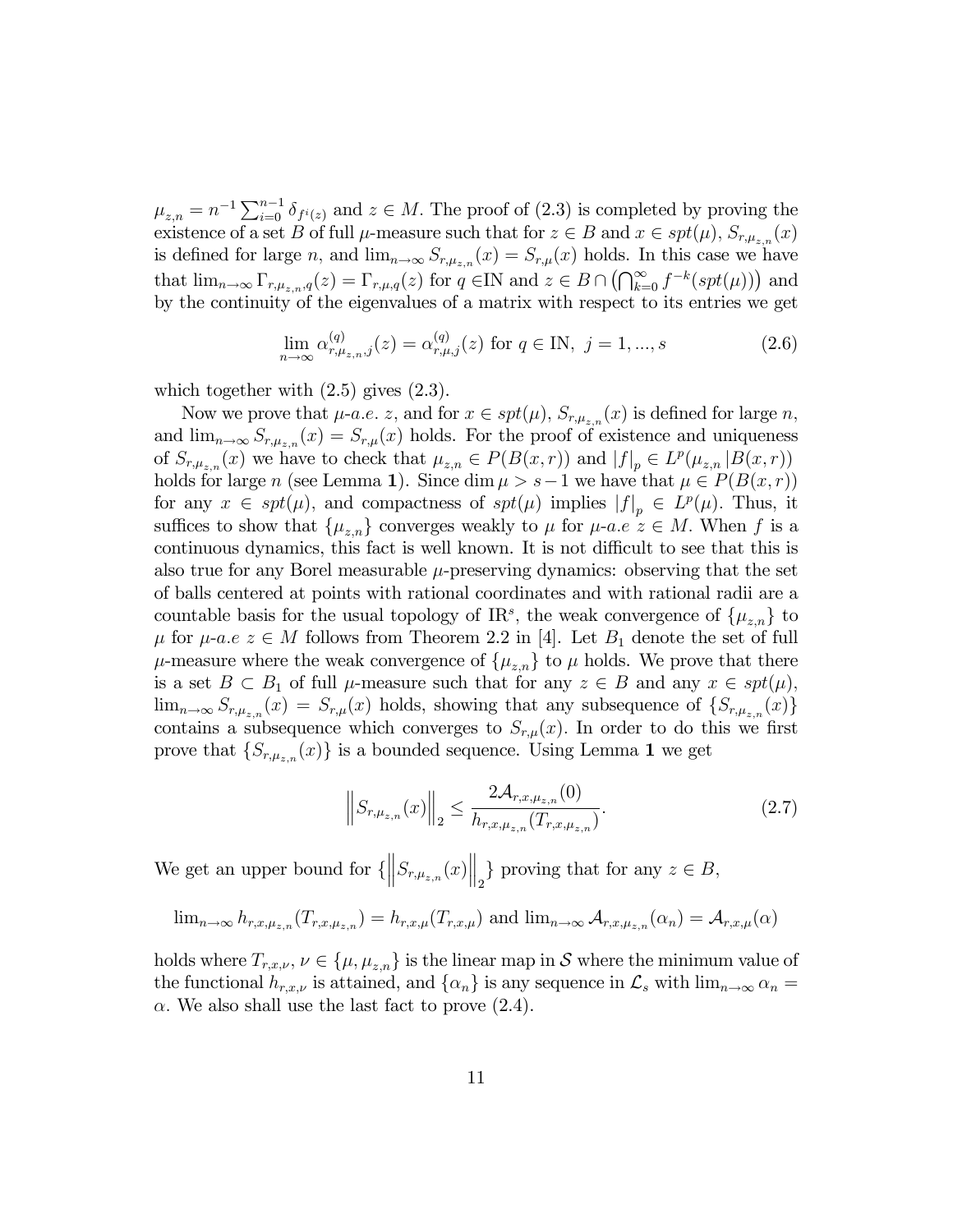$\mu_{z,n} = n^{-1} \sum_{i=0}^{n-1} \delta_{f^i(z)}$  and  $z \in M$ . The proof of (2.3) is completed by proving the existence of a set B of full  $\mu$ -measure such that for  $z \in B$  and  $x \in spt(\mu)$ ,  $S_{r,\mu_{z,n}}(x)$ is defined for large n, and  $\lim_{n\to\infty} S_{r,\mu_{z,n}}(x) = S_{r,\mu}(x)$  holds. In this case we have that  $\lim_{n\to\infty} \Gamma_{r,\mu_{z,n},q}(z) = \Gamma_{r,\mu,q}(z)$  for  $q \in \mathbb{N}$  and  $z \in B \cap (\bigcap_{k=0}^{\infty} f^{-k}(spt(\mu)))$  and by the continuity of the eigenvalues of a matrix with respect to its entries we get

$$
\lim_{n \to \infty} \alpha_{r,\mu_{z,n},j}^{(q)}(z) = \alpha_{r,\mu,j}^{(q)}(z) \text{ for } q \in \mathbb{N}, j = 1, ..., s
$$
 (2.6)

which together with (2.5) gives (2.3).

Now we prove that  $\mu$ -a.e. z, and for  $x \in spt(\mu)$ ,  $S_{r,\mu_{z,n}}(x)$  is defined for large n, and  $\lim_{n\to\infty} S_{r,\mu_{z,n}}(x) = S_{r,\mu}(x)$  holds. For the proof of existence and uniqueness of  $S_{r,\mu_{z,n}}(x)$  we have to check that  $\mu_{z,n} \in P(B(x,r))$  and  $|f|_p \in L^p(\mu_{z,n}|B(x,r))$ holds for large n (see Lemma 1). Since dim  $\mu > s-1$  we have that  $\mu \in P(B(x, r))$ for any  $x \in spt(\mu)$ , and compactness of  $spt(\mu)$  implies  $|f|_p \in L^p(\mu)$ . Thus, it suffices to show that  $\{\mu_{z,n}\}$  converges weakly to  $\mu$  for  $\mu$ -a.e  $z \in M$ . When f is a continuous dynamics, this fact is well known. It is not difficult to see that this is also true for any Borel measurable  $\mu$ -preserving dynamics: observing that the set of balls centered at points with rational coordinates and with rational radii are a countable basis for the usual topology of IR<sup>s</sup>, the weak convergence of  $\{\mu_{z,n}\}$  to  $\mu$  for  $\mu$ -a.e  $z \in M$  follows from Theorem 2.2 in [4]. Let  $B_1$  denote the set of full  $\mu$ -measure where the weak convergence of  $\{\mu_{z,n}\}\)$  to  $\mu$  holds. We prove that there is a set  $B \subset B_1$  of full  $\mu$ -measure such that for any  $z \in B$  and any  $x \in spt(\mu)$ ,  $\lim_{n\to\infty} S_{r,\mu_{z,n}}(x) = S_{r,\mu}(x)$  holds, showing that any subsequence of  $\{S_{r,\mu_{z,n}}(x)\}$ contains a subsequence which converges to  $S_{r,\mu}(x)$ . In order to do this we first prove that  $\{S_{r,\mu_{z,n}}(x)\}\)$  is a bounded sequence. Using Lemma 1 we get

$$
\left\| S_{r,\mu_{z,n}}(x) \right\|_2 \le \frac{2\mathcal{A}_{r,x,\mu_{z,n}}(0)}{h_{r,x,\mu_{z,n}}(T_{r,x,\mu_{z,n}})}.
$$
\n(2.7)

We get an upper bound for  $\{||S_{r,\mu_{z,n}}(x)||_2\}$  proving that for any  $z \in B$ ,

$$
\lim_{n\to\infty} h_{r,x,\mu_{z,n}}(T_{r,x,\mu_{z,n}}) = h_{r,x,\mu}(T_{r,x,\mu}) \text{ and } \lim_{n\to\infty} \mathcal{A}_{r,x,\mu_{z,n}}(\alpha_n) = \mathcal{A}_{r,x,\mu}(\alpha)
$$

holds where  $T_{r,x,\nu}$ ,  $\nu \in {\{\mu,\mu_{z,n}\}}$  is the linear map in S where the minimum value of the functional  $h_{r,x,\nu}$  is attained, and  $\{\alpha_n\}$  is any sequence in  $\mathcal{L}_s$  with  $\lim_{n\to\infty}\alpha_n =$  $\alpha$ . We also shall use the last fact to prove (2.4).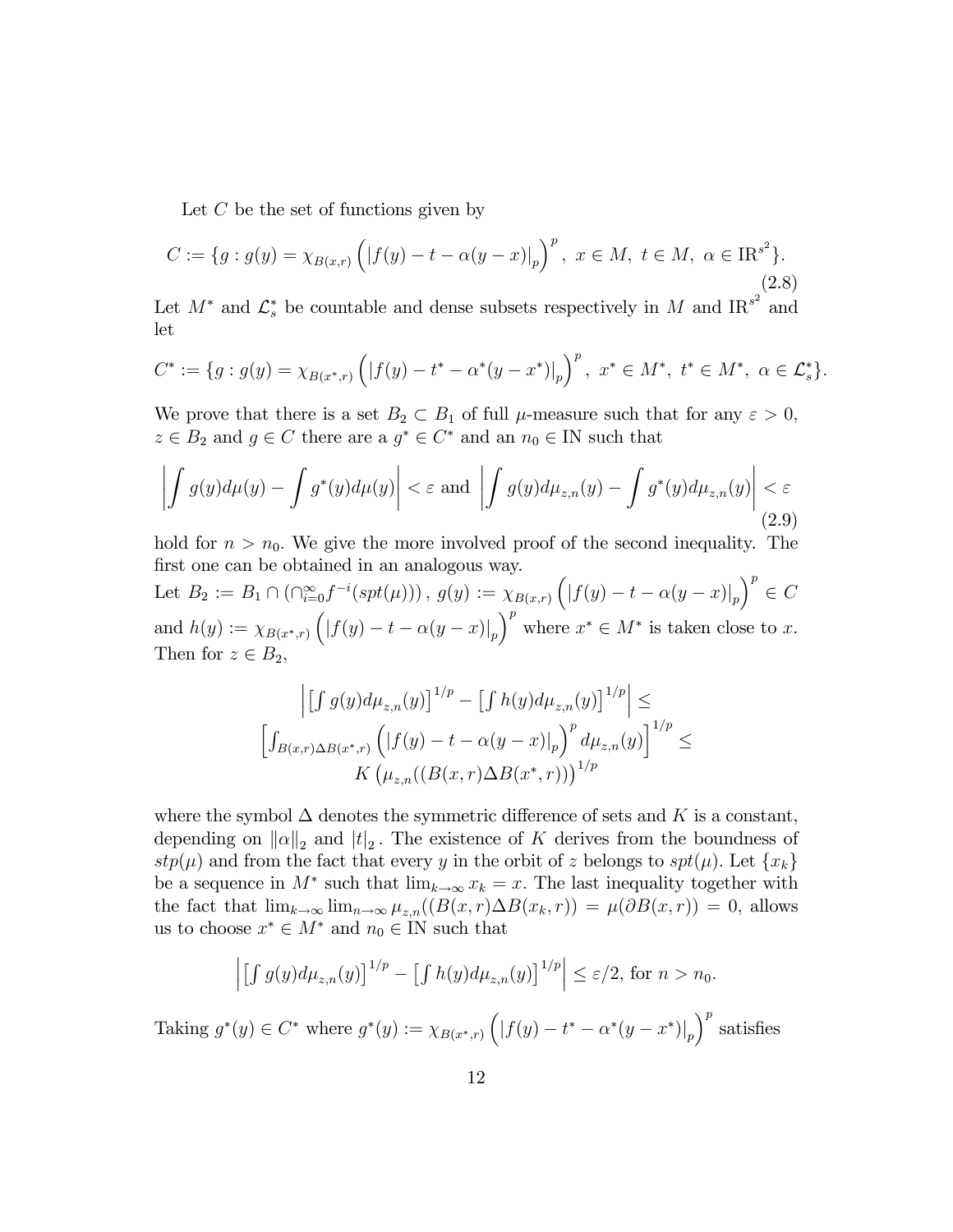Let  $C$  be the set of functions given by

$$
C := \{ g : g(y) = \chi_{B(x,r)} \left( |f(y) - t - \alpha(y-x)|_p \right)^p, \ x \in M, \ t \in M, \ \alpha \in \text{IR}^{s^2} \}. \tag{2.8}
$$

Let  $M^*$  and  $\mathcal{L}_s^*$  be countable and dense subsets respectively in M and  $\text{IR}^{s^2}$  and let

$$
C^* := \{ g : g(y) = \chi_{B(x^*, r)} \left( |f(y) - t^* - \alpha^*(y - x^*)|_p \right)^p, \ x^* \in M^*, \ t^* \in M^*, \ \alpha \in \mathcal{L}_s^* \}.
$$

We prove that there is a set  $B_2 \subset B_1$  of full  $\mu$ -measure such that for any  $\varepsilon > 0$ ,  $z \in B_2$  and  $g \in C$  there are a  $g^* \in C^*$  and an  $n_0 \in \mathbb{N}$  such that

$$
\left| \int g(y) d\mu(y) - \int g^*(y) d\mu(y) \right| < \varepsilon \text{ and } \left| \int g(y) d\mu_{z,n}(y) - \int g^*(y) d\mu_{z,n}(y) \right| < \varepsilon
$$
\n(2.9)

hold for  $n > n_0$ . We give the more involved proof of the second inequality. The first one can be obtained in an analogous way.

Let  $B_2 := B_1 \cap (\bigcap_{i=0}^{\infty} f^{-i}(spt(\mu)))$ ,  $g(y) := \chi_{B(x,r)} (|f(y) - t - \alpha(y-x)|_p)$  $\big)^p \in C$ and  $h(y) := \chi_{B(x^*, r)} (|f(y) - t - \alpha(y - x)|_p)$  $\int^p$  where  $x^* \in M^*$  is taken close to x. Then for  $z \in B_2$ ,

$$
\left| \left[ \int g(y) d\mu_{z,n}(y) \right]^{1/p} - \left[ \int h(y) d\mu_{z,n}(y) \right]^{1/p} \right| \le
$$
  

$$
\left[ \int_{B(x,r)\Delta B(x^*,r)} \left( |f(y) - t - \alpha(y-x)|_p \right)^p d\mu_{z,n}(y) \right]^{1/p} \le
$$
  

$$
K \left( \mu_{z,n}((B(x,r)\Delta B(x^*,r)))^{1/p}
$$

where the symbol  $\Delta$  denotes the symmetric difference of sets and K is a constant, depending on  $||\alpha||_2$  and  $|t|_2$ . The existence of K derives from the boundness of  $stp(\mu)$  and from the fact that every y in the orbit of z belongs to  $spt(\mu)$ . Let  $\{x_k\}$ be a sequence in  $M^*$  such that  $\lim_{k\to\infty} x_k = x$ . The last inequality together with the fact that  $\lim_{k\to\infty} \lim_{n\to\infty} \mu_{z,n}((B(x, r) \Delta B(x, r)) = \mu(\partial B(x, r)) = 0$ , allows us to choose  $x^* \in M^*$  and  $n_0 \in \mathbb{N}$  such that

$$
\left| \left[ \int g(y) d\mu_{z,n}(y) \right]^{1/p} - \left[ \int h(y) d\mu_{z,n}(y) \right]^{1/p} \right| \leq \varepsilon/2, \text{ for } n > n_0.
$$

Taking  $g^*(y) \in C^*$  where  $g^*(y) := \chi_{B(x^*, r)} (|f(y) - t^* - \alpha^*(y - x^*)|_p)$  $\int^p$  satisfies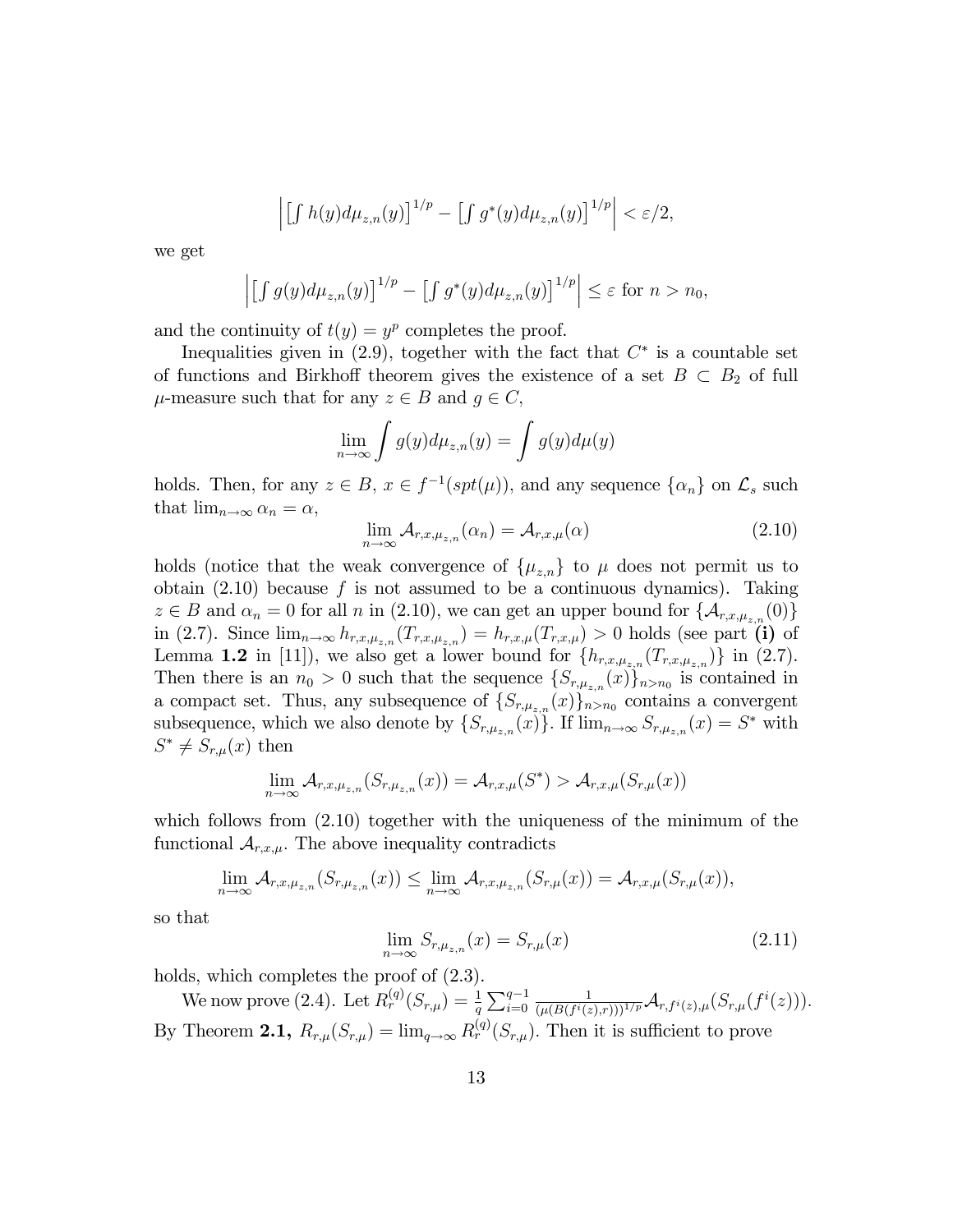$$
\left| \left[ \int h(y) d\mu_{z,n}(y) \right]^{1/p} - \left[ \int g^*(y) d\mu_{z,n}(y) \right]^{1/p} \right| < \varepsilon/2,
$$

we get

$$
\left| \left[ \int g(y) d\mu_{z,n}(y) \right]^{1/p} - \left[ \int g^*(y) d\mu_{z,n}(y) \right]^{1/p} \right| \leq \varepsilon \text{ for } n > n_0,
$$

and the continuity of  $t(y) = y^p$  completes the proof.

Inequalities given in  $(2.9)$ , together with the fact that  $C^*$  is a countable set of functions and Birkhoff theorem gives the existence of a set  $B \subset B_2$  of full  $\mu$ -measure such that for any  $z \in B$  and  $g \in C$ ,

$$
\lim_{n \to \infty} \int g(y) d\mu_{z,n}(y) = \int g(y) d\mu(y)
$$

holds. Then, for any  $z \in B$ ,  $x \in f^{-1}(spt(\mu))$ , and any sequence  $\{\alpha_n\}$  on  $\mathcal{L}_s$  such that  $\lim_{n \to \infty} \alpha_n = \alpha$ ,

$$
\lim_{n \to \infty} \mathcal{A}_{r,x,\mu_{z,n}}(\alpha_n) = \mathcal{A}_{r,x,\mu}(\alpha)
$$
\n(2.10)

holds (notice that the weak convergence of  $\{\mu_{z,n}\}\)$  to  $\mu$  does not permit us to obtain  $(2.10)$  because f is not assumed to be a continuous dynamics). Taking  $z \in B$  and  $\alpha_n = 0$  for all n in (2.10), we can get an upper bound for  $\{\mathcal{A}_{r,x,\mu_{z,n}}(0)\}$ in (2.7). Since  $\lim_{n\to\infty} h_{r,x,\mu_{z,n}}(T_{r,x,\mu_{z,n}})=h_{r,x,\mu}(T_{r,x,\mu})>0$  holds (see part (i) of Lemma 1.2 in [11]), we also get a lower bound for  $\{h_{r,x,\mu_{z,n}}(T_{r,x,\mu_{z,n}})\}\$  in (2.7). Then there is an  $n_0 > 0$  such that the sequence  $\{S_{r,\mu_{z,n}}(x)\}_{n>n_0}$  is contained in a compact set. Thus, any subsequence of  $\{S_{r,\mu_{z,n}}(x)\}_{n>n_0}$  contains a convergent subsequence, which we also denote by  $\{S_{r,\mu_{z,n}}(x)\}\)$ . If  $\lim_{n\to\infty} S_{r,\mu_{z,n}}(x) = S^*$  with  $S^* \neq S_{r,\mu}(x)$  then

$$
\lim_{n\to\infty} \mathcal{A}_{r,x,\mu_{z,n}}(S_{r,\mu_{z,n}}(x)) = \mathcal{A}_{r,x,\mu}(S^*) > \mathcal{A}_{r,x,\mu}(S_{r,\mu}(x))
$$

which follows from  $(2.10)$  together with the uniqueness of the minimum of the functional  $A_{r,x,\mu}$ . The above inequality contradicts

$$
\lim_{n\to\infty} \mathcal{A}_{r,x,\mu_{z,n}}(S_{r,\mu_{z,n}}(x)) \leq \lim_{n\to\infty} \mathcal{A}_{r,x,\mu_{z,n}}(S_{r,\mu}(x)) = \mathcal{A}_{r,x,\mu}(S_{r,\mu}(x)),
$$

so that

$$
\lim_{n \to \infty} S_{r,\mu_{z,n}}(x) = S_{r,\mu}(x) \tag{2.11}
$$

holds, which completes the proof of  $(2.3)$ .

We now prove (2.4). Let  $R_r^{(q)}(S_{r,\mu}) = \frac{1}{q} \sum_{i=0}^{q-1}$ 1  $\frac{1}{(\mu(B(f^{i}(z),r)))^{1/p}}{\cal A}_{r,f^{i}(z),\mu}(S_{r,\mu}(f^{i}(z))).$ By Theorem 2.1,  $R_{r,\mu}(S_{r,\mu}) = \lim_{q \to \infty} R_r^{(q)}(S_{r,\mu})$ . Then it is sufficient to prove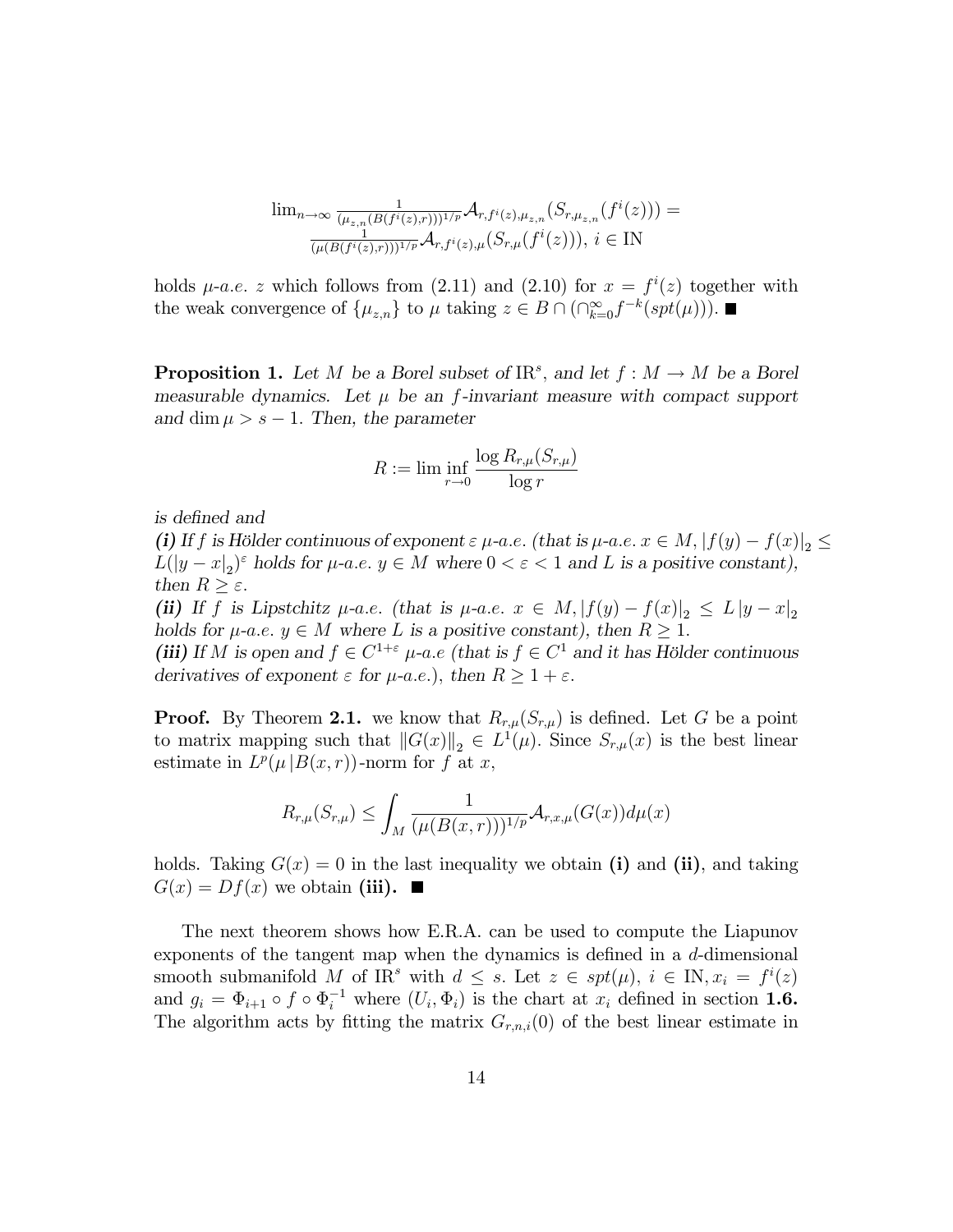$$
\lim_{n \to \infty} \frac{1}{(\mu_{z,n}(B(f^i(z), r)))^{1/p}} \mathcal{A}_{r, f^i(z), \mu_{z,n}}(S_{r, \mu_{z,n}}(f^i(z))) = \frac{1}{(\mu(B(f^i(z), r)))^{1/p}} \mathcal{A}_{r, f^i(z), \mu}(S_{r, \mu}(f^i(z))), i \in \mathbb{N}
$$

holds  $\mu$ -a.e. z which follows from (2.11) and (2.10) for  $x = f^{i}(z)$  together with the weak convergence of  $\{\mu_{z,n}\}\)$  to  $\mu$  taking  $z \in B \cap (\bigcap_{k=0}^{\infty} f^{-k}(spt(\mu))).$ 

**Proposition 1.** Let M be a Borel subset of  $\text{IR}^s$ , and let  $f : M \to M$  be a Borel measurable dynamics. Let  $\mu$  be an f-invariant measure with compact support and dim  $\mu > s - 1$ . Then, the parameter

$$
R := \lim \inf_{r \to 0} \frac{\log R_{r,\mu}(S_{r,\mu})}{\log r}
$$

is defined and

(i) If f is Hölder continuous of exponent  $\varepsilon \mu$ -a.e. (that is  $\mu$ -a.e.  $x \in M$ ,  $|f(y) - f(x)|_2 \le$  $L(|y-x|_2)^{\varepsilon}$  holds for  $\mu$ -a.e.  $y \in M$  where  $0 < \varepsilon < 1$  and L is a positive constant), then  $R \geq \varepsilon$ .

(ii) If f is Lipstchitz  $\mu$ -a.e. (that is  $\mu$ -a.e.  $x \in M$ ,  $|f(y) - f(x)|_2 \leq L |y - x|_2$ holds for  $\mu$ -a.e.  $y \in M$  where L is a positive constant), then  $R \geq 1$ .

(iii) If M is open and  $f \in C^{1+\varepsilon}$   $\mu$ -a.e (that is  $f \in C^1$  and it has Hölder continuous derivatives of exponent  $\varepsilon$  for  $\mu$ -a.e.), then  $R \geq 1 + \varepsilon$ .

**Proof.** By Theorem 2.1. we know that  $R_{r,\mu}(S_{r,\mu})$  is defined. Let G be a point to matrix mapping such that  $||G(x)||_2 \in L^1(\mu)$ . Since  $S_{r,\mu}(x)$  is the best linear estimate in  $L^p(\mu | B(x,r))$ -norm for f at x,

$$
R_{r,\mu}(S_{r,\mu}) \leq \int_M \frac{1}{(\mu(B(x,r)))^{1/p}} \mathcal{A}_{r,x,\mu}(G(x))d\mu(x)
$$

holds. Taking  $G(x) = 0$  in the last inequality we obtain (i) and (ii), and taking  $G(x) = Df(x)$  we obtain (iii).

The next theorem shows how E.R.A. can be used to compute the Liapunov exponents of the tangent map when the dynamics is defined in a  $d$ -dimensional smooth submanifold M of IR<sup>s</sup> with  $d \leq s$ . Let  $z \in spt(\mu)$ ,  $i \in \mathbb{N}, x_i = f^i(z)$ and  $g_i = \Phi_{i+1} \circ f \circ \Phi_i^{-1}$  where  $(U_i, \Phi_i)$  is the chart at  $x_i$  defined in section **1.6.** The algorithm acts by fitting the matrix  $G_{r,n,i}(0)$  of the best linear estimate in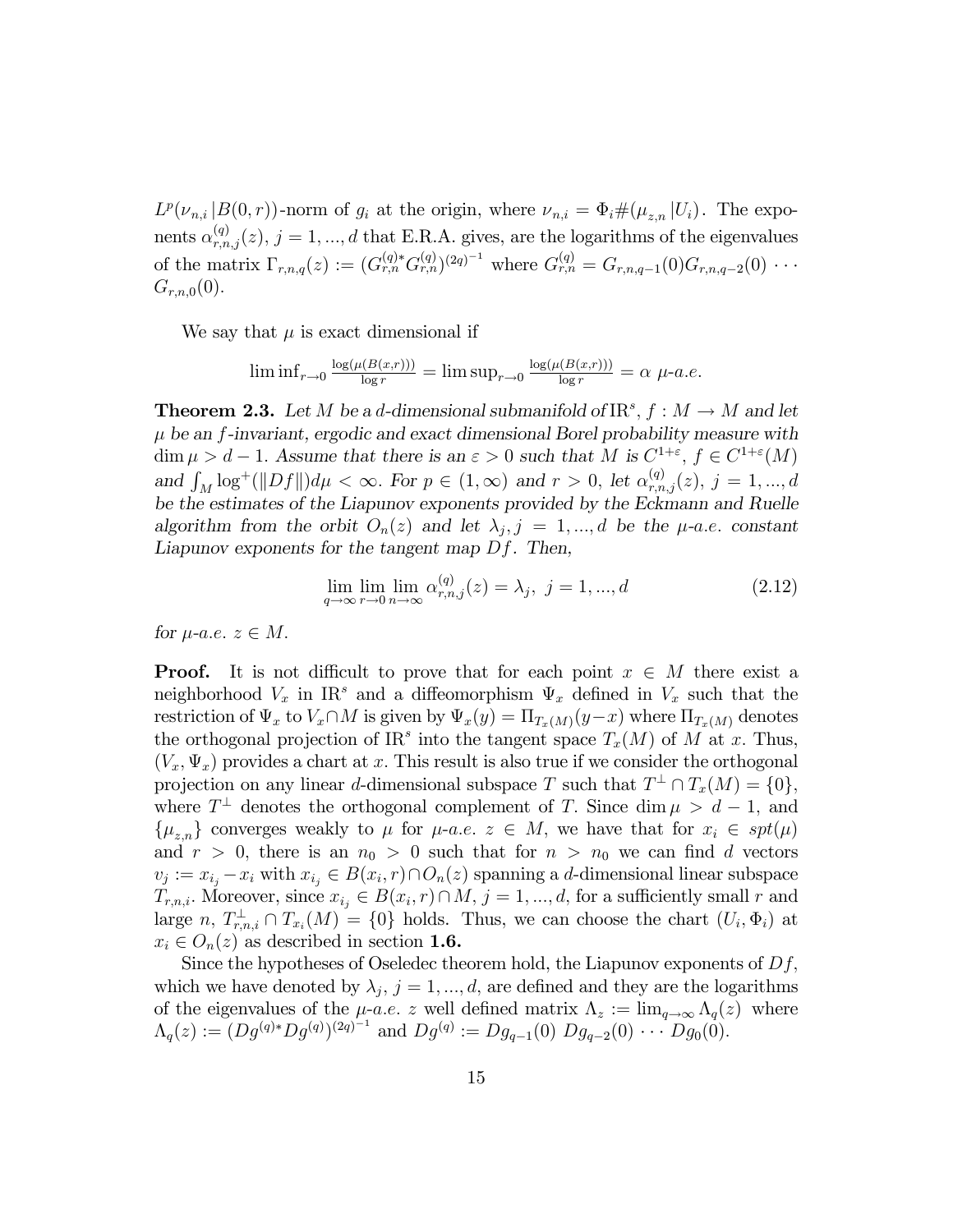$L^p(\nu_{n,i}|B(0,r))$ -norm of  $g_i$  at the origin, where  $\nu_{n,i} = \Phi_i \#(\mu_{z,n}|U_i)$ . The exponents  $\alpha_{r,n,j}^{(q)}(z)$ ,  $j = 1, ..., d$  that E.R.A. gives, are the logarithms of the eigenvalues of the matrix  $\Gamma_{r,n,q}(z) := (G_{r,n}^{(q)*} G_{r,n}^{(q)})^{(2q)^{-1}}$  where  $G_{r,n}^{(q)} = G_{r,n,q-1}(0) G_{r,n,q-2}(0) \cdots$  $G_{r,n,0}(0)$ .

We say that  $\mu$  is exact dimensional if

$$
\liminf_{r \to 0} \frac{\log(\mu(B(x,r)))}{\log r} = \limsup_{r \to 0} \frac{\log(\mu(B(x,r)))}{\log r} = \alpha \mu-a.e.
$$

**Theorem 2.3.** Let M be a d-dimensional submanifold of  $\text{IR}^s$ ,  $f : M \to M$  and let  $\mu$  be an f-invariant, ergodic and exact dimensional Borel probability measure with  $\dim \mu > d-1$ . Assume that there is an  $\varepsilon > 0$  such that M is  $C^{1+\varepsilon}$ ,  $f \in C^{1+\varepsilon}(M)$ and  $\int_M \log^+(||Df||)d\mu < \infty$ . For  $p \in (1,\infty)$  and  $r > 0$ , let  $\alpha_{r,n,j}^{(q)}(z)$ ,  $j = 1,...,d$ be the estimates of the Liapunov exponents provided by the Eckmann and Ruelle algorithm from the orbit  $O_n(z)$  and let  $\lambda_j$ ,  $j = 1, ..., d$  be the  $\mu$ -a.e. constant Liapunov exponents for the tangent map Df. Then,

$$
\lim_{q \to \infty} \lim_{r \to 0} \lim_{n \to \infty} \alpha_{r,n,j}^{(q)}(z) = \lambda_j, \ j = 1, ..., d
$$
\n(2.12)

for  $\mu$ -a.e.  $z \in M$ .

**Proof.** It is not difficult to prove that for each point  $x \in M$  there exist a neighborhood  $V_x$  in IR<sup>s</sup> and a diffeomorphism  $\Psi_x$  defined in  $V_x$  such that the restriction of  $\Psi_x$  to  $V_x \cap M$  is given by  $\Psi_x(y) = \Pi_{T_x(M)}(y-x)$  where  $\Pi_{T_x(M)}$  denotes the orthogonal projection of IR<sup>s</sup> into the tangent space  $T_x(M)$  of M at x. Thus,  $(V_x, \Psi_x)$  provides a chart at x. This result is also true if we consider the orthogonal projection on any linear d-dimensional subspace T such that  $T^{\perp} \cap T_x(M) = \{0\}$ , where  $T^{\perp}$  denotes the orthogonal complement of T. Since  $\dim \mu > d - 1$ , and  $\{\mu_{z,n}\}\$  converges weakly to  $\mu$  for  $\mu$ -a.e.  $z \in M$ , we have that for  $x_i \in spt(\mu)$ and  $r > 0$ , there is an  $n_0 > 0$  such that for  $n > n_0$  we can find d vectors  $v_j := x_{i_j} - x_i$  with  $x_{i_j} \in B(x_i, r) \cap O_n(z)$  spanning a d-dimensional linear subspace  $T_{r,n,i}$ . Moreover, since  $x_{i_j} \in B(x_i, r) \cap M$ ,  $j = 1, ..., d$ , for a sufficiently small r and large  $n, T_{r,n,i}^{\perp} \cap T_{x_i}(M) = \{0\}$  holds. Thus, we can choose the chart  $(U_i, \Phi_i)$  at  $x_i \in O_n(z)$  as described in section 1.6.

Since the hypotheses of Oseledec theorem hold, the Liapunov exponents of  $Df$ , which we have denoted by  $\lambda_j$ ,  $j = 1, ..., d$ , are defined and they are the logarithms of the eigenvalues of the  $\mu$ -a.e. z well defined matrix  $\Lambda_z := \lim_{q \to \infty} \Lambda_q(z)$  where  $\Lambda_q(z) := (Dg^{(q)*}Dg^{(q)})^{(2q)^{-1}}$  and  $Dg^{(q)} := Dg_{q-1}(0) Dg_{q-2}(0) \cdots Dg_0(0)$ .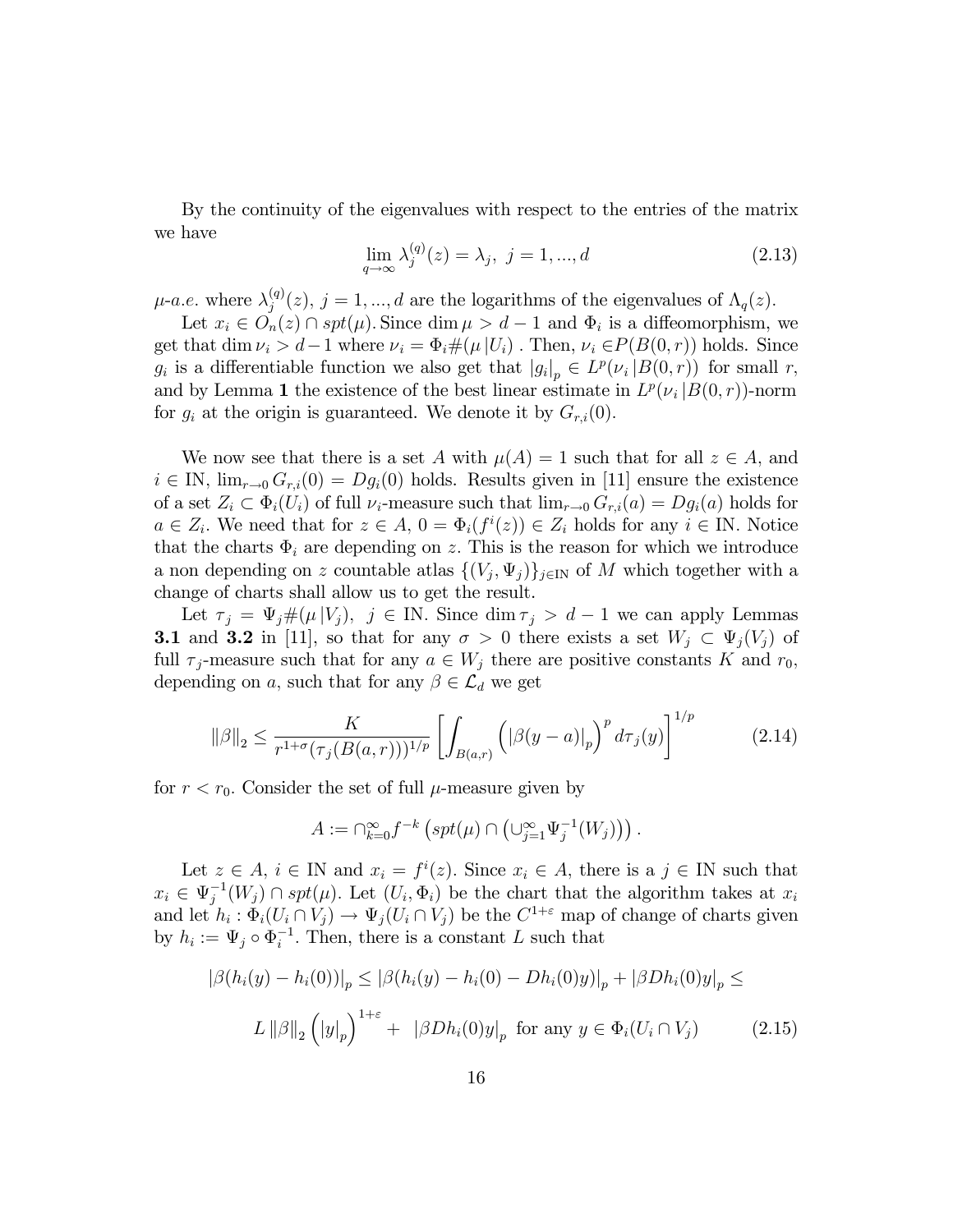By the continuity of the eigenvalues with respect to the entries of the matrix we have

$$
\lim_{q \to \infty} \lambda_j^{(q)}(z) = \lambda_j, \ j = 1, ..., d
$$
\n(2.13)

 $\mu$ -a.e. where  $\lambda_i^{(q)}$  $j^{(q)}(z)$ ,  $j = 1, ..., d$  are the logarithms of the eigenvalues of  $\Lambda_q(z)$ .

Let  $x_i \in O_n(z) \cap spt(\mu)$ . Since  $\dim \mu > d-1$  and  $\Phi_i$  is a diffeomorphism, we get that dim  $\nu_i > d-1$  where  $\nu_i = \Phi_i \#(\mu | U_i)$ . Then,  $\nu_i \in P(B(0, r))$  holds. Since  $g_i$  is a differentiable function we also get that  $|g_i|_p \in L^p(\nu_i | B(0,r))$  for small r, and by Lemma 1 the existence of the best linear estimate in  $L^p(\nu_i|B(0,r))$ -norm for  $g_i$  at the origin is guaranteed. We denote it by  $G_{r,i}(0)$ .

We now see that there is a set A with  $\mu(A) = 1$  such that for all  $z \in A$ , and  $i \in \mathbb{N}$ ,  $\lim_{r \to 0} G_{r,i}(0) = Dg_i(0)$  holds. Results given in [11] ensure the existence of a set  $Z_i \subset \Phi_i(U_i)$  of full  $\nu_i$ -measure such that  $\lim_{r\to 0} G_{r,i}(a) = Dg_i(a)$  holds for  $a \in Z_i$ . We need that for  $z \in A$ ,  $0 = \Phi_i(f^i(z)) \in Z_i$  holds for any  $i \in \mathbb{N}$ . Notice that the charts  $\Phi_i$  are depending on z. This is the reason for which we introduce a non depending on z countable atlas  $\{(V_j, \Psi_j)\}_{j\in\mathbb{N}}$  of M which together with a change of charts shall allow us to get the result.

Let  $\tau_j = \Psi_j \#(\mu | V_j)$ ,  $j \in \mathbb{N}$ . Since  $\dim \tau_j > d - 1$  we can apply Lemmas **3.1** and **3.2** in [11], so that for any  $\sigma > 0$  there exists a set  $W_j \subset \Psi_j(V_j)$  of full  $\tau_j$ -measure such that for any  $a \in W_j$  there are positive constants K and  $r_0$ , depending on a, such that for any  $\beta \in \mathcal{L}_d$  we get

$$
\|\beta\|_2 \le \frac{K}{r^{1+\sigma}(\tau_j(B(a,r)))^{1/p}} \left[ \int_{B(a,r)} \left( |\beta(y-a)|_p \right)^p d\tau_j(y) \right]^{1/p} \tag{2.14}
$$

for  $r < r_0$ . Consider the set of full  $\mu$ -measure given by

$$
A := \bigcap_{k=0}^{\infty} f^{-k} \left( spt(\mu) \cap \left( \bigcup_{j=1}^{\infty} \Psi_j^{-1}(W_j) \right) \right).
$$

Let  $z \in A$ ,  $i \in \mathbb{N}$  and  $x_i = f^i(z)$ . Since  $x_i \in A$ , there is a  $j \in \mathbb{N}$  such that  $x_i \in \Psi_j^{-1}(W_j) \cap spt(\mu)$ . Let  $(U_i, \Phi_i)$  be the chart that the algorithm takes at  $x_i$ and let  $h_i : \Phi_i(U_i \cap V_j) \to \Psi_j(U_i \cap V_j)$  be the  $C^{1+\varepsilon}$  map of change of charts given by  $h_i := \Psi_j \circ \Phi_i^{-1}$ . Then, there is a constant L such that

$$
|\beta(h_i(y) - h_i(0))|_p \le |\beta(h_i(y) - h_i(0) - Dh_i(0)y)|_p + |\beta Dh_i(0)y|_p \le
$$
  

$$
L \|\beta\|_2 \left(|y|_p\right)^{1+\varepsilon} + |\beta Dh_i(0)y|_p \text{ for any } y \in \Phi_i(U_i \cap V_j) \tag{2.15}
$$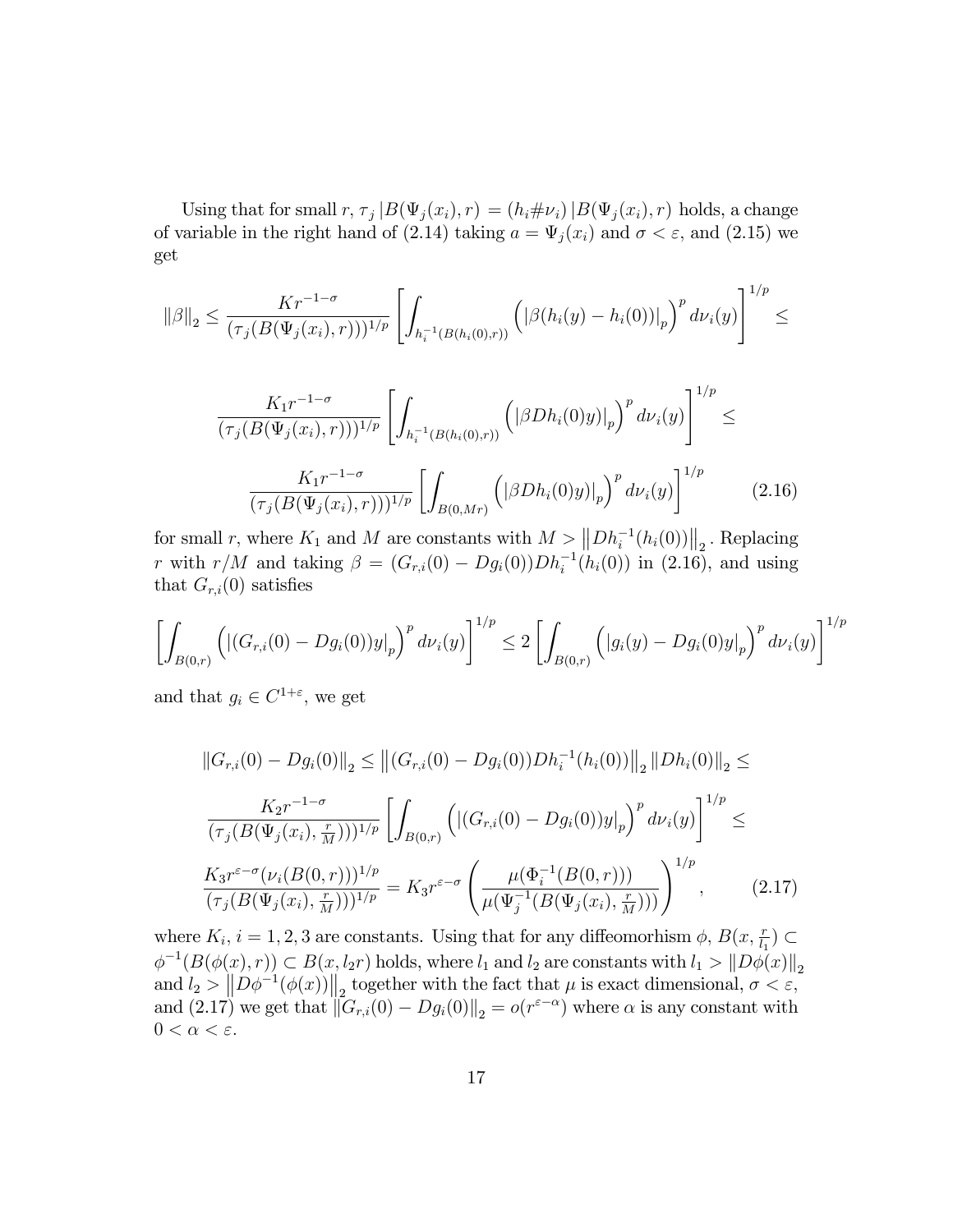Using that for small  $r, \tau_j | B(\Psi_j(x_i), r) = (h_i \# \nu_i) | B(\Psi_j(x_i), r)$  holds, a change of variable in the right hand of (2.14) taking  $a = \Psi_j(x_i)$  and  $\sigma < \varepsilon$ , and (2.15) we get

$$
\|\beta\|_2 \leq \frac{Kr^{-1-\sigma}}{(\tau_j(B(\Psi_j(x_i),r)))^{1/p}} \left[ \int_{h_i^{-1}(B(h_i(0),r))} \left( \left| \beta(h_i(y) - h_i(0)) \right|_p \right)^p d\nu_i(y) \right]^{1/p} \leq
$$

$$
\frac{K_1 r^{-1-\sigma}}{(\tau_j(B(\Psi_j(x_i), r))))^{1/p}} \left[ \int_{h_i^{-1}(B(h_i(0), r))} \left( |\beta Dh_i(0)y)|_p \right)^p d\nu_i(y) \right]^{1/p} \le
$$
\n
$$
\frac{K_1 r^{-1-\sigma}}{(\tau_j(B(\Psi_j(x_i), r)))^{1/p}} \left[ \int_{B(0, Mr)} \left( |\beta Dh_i(0)y)|_p \right)^p d\nu_i(y) \right]^{1/p} \tag{2.16}
$$

for small r, where  $K_1$  and M are constants with  $M > ||Dh_i^{-1}(h_i(0))||_2$ . Replacing r with  $r/M$  and taking  $\beta = (G_{r,i}(0) - Dg_i(0))Dh_i^{-1}(h_i(0))$  in (2.16), and using that  $G_{r,i}(0)$  satisfies

$$
\left[\int_{B(0,r)} \left( |(G_{r,i}(0) - Dg_i(0))y|_p \right)^p d\nu_i(y) \right]^{1/p} \le 2 \left[ \int_{B(0,r)} \left( |g_i(y) - Dg_i(0)y|_p \right)^p d\nu_i(y) \right]^{1/p}
$$

and that  $g_i \in C^{1+\varepsilon}$ , we get

$$
||G_{r,i}(0) - Dg_i(0)||_2 \le ||(G_{r,i}(0) - Dg_i(0))Dh_i^{-1}(h_i(0))||_2 ||Dh_i(0)||_2 \le
$$
  

$$
\frac{K_2r^{-1-\sigma}}{(\tau_j(B(\Psi_j(x_i), \frac{r}{M})))^{1/p}} \left[ \int_{B(0,r)} \left( |(G_{r,i}(0) - Dg_i(0))y|_p \right)^p d\nu_i(y) \right]^{1/p} \le
$$
  

$$
\frac{K_3r^{\varepsilon-\sigma}(\nu_i(B(0,r)))^{1/p}}{(\tau_j(B(\Psi_j(x_i), \frac{r}{M})))^{1/p}} = K_3r^{\varepsilon-\sigma} \left( \frac{\mu(\Phi_i^{-1}(B(0,r)))}{\mu(\Psi_j^{-1}(B(\Psi_j(x_i), \frac{r}{M})))} \right)^{1/p}, \qquad (2.17)
$$

where  $K_i$ ,  $i = 1, 2, 3$  are constants. Using that for any diffeomorhism  $\phi$ ,  $B(x, \frac{r}{l_1}) \subset$  $\phi^{-1}(B(\phi(x), r)) \subset B(x, l_2r)$  holds, where  $l_1$  and  $l_2$  are constants with  $l_1 > ||D\phi(x)||_2$ and  $l_2 > ||D\phi^{-1}(\phi(x))||_2$  together with the fact that  $\mu$  is exact dimensional,  $\sigma < \varepsilon$ , and  $(2.17)$  we get that  $||G_{r,i}(0) - Dg_i(0)||_2 = o(r^{\varepsilon-\alpha})$  where  $\alpha$  is any constant with  $0 < \alpha < \varepsilon$ .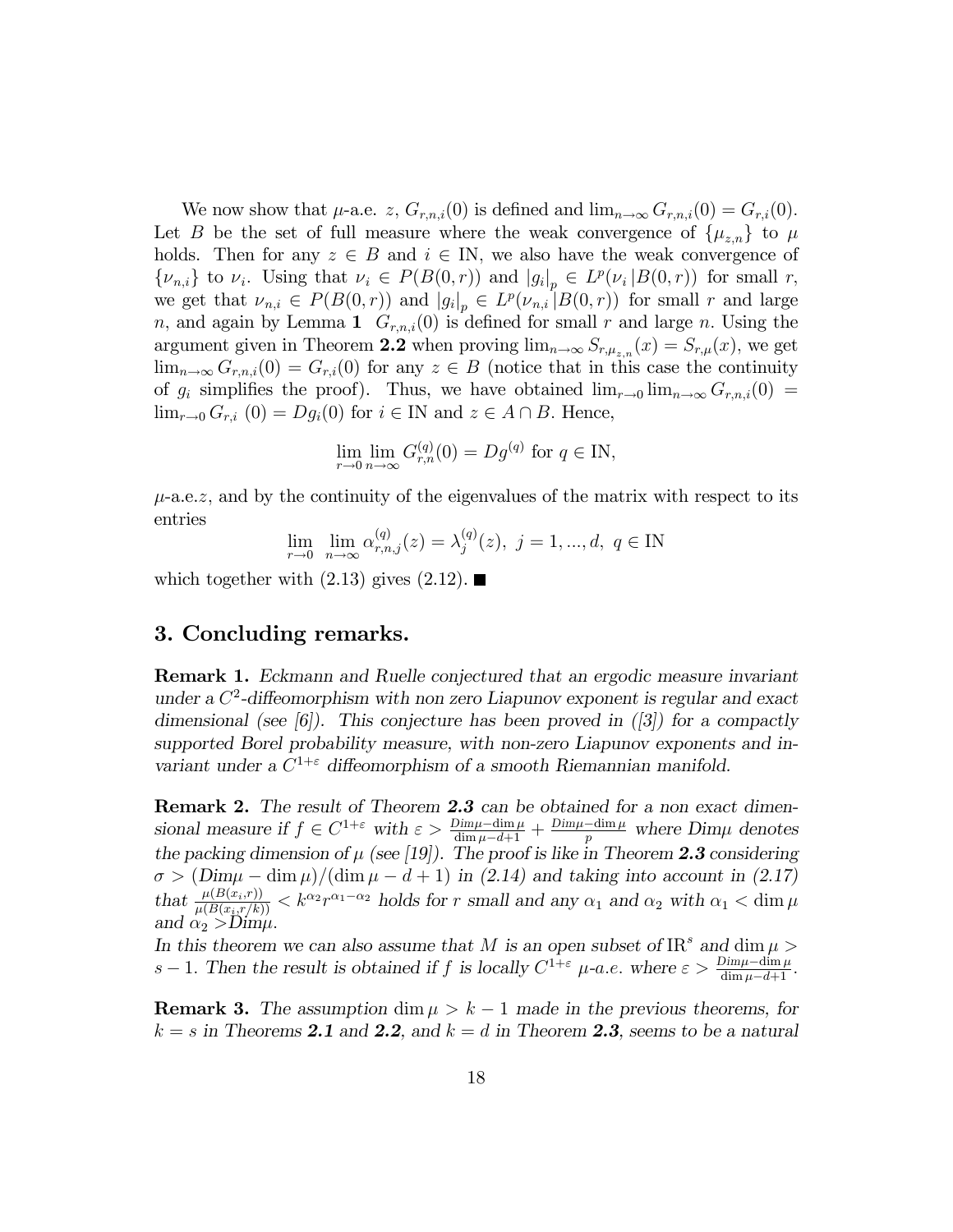We now show that  $\mu$ -a.e. z,  $G_{r,n,i}(0)$  is defined and  $\lim_{n\to\infty} G_{r,n,i}(0) = G_{r,i}(0)$ . Let B be the set of full measure where the weak convergence of  $\{\mu_{z,n}\}\)$  to  $\mu$ holds. Then for any  $z \in B$  and  $i \in \mathbb{N}$ , we also have the weak convergence of  $\{\nu_{n,i}\}\$  to  $\nu_i$ . Using that  $\nu_i \in P(B(0,r))$  and  $|g_i|_p \in L^p(\nu_i|B(0,r))$  for small r, we get that  $\nu_{n,i} \in P(B(0,r))$  and  $|g_i|_p \in L^p(\nu_{n,i}|B(0,r))$  for small r and large n, and again by Lemma 1  $G_{r,n,i}(0)$  is defined for small r and large n. Using the argument given in Theorem 2.2 when proving  $\lim_{n\to\infty} S_{r,\mu_{z,n}}(x) = S_{r,\mu}(x)$ , we get  $\lim_{n\to\infty} G_{r,n,i}(0) = G_{r,i}(0)$  for any  $z \in B$  (notice that in this case the continuity of  $g_i$  simplifies the proof). Thus, we have obtained  $\lim_{r\to 0} \lim_{n\to\infty} G_{r,n,i}(0)$  $\lim_{r\to 0} G_{r,i}$  (0) =  $Dg_i(0)$  for  $i \in \mathbb{N}$  and  $z \in A \cap B$ . Hence,

$$
\lim_{r \to 0} \lim_{n \to \infty} G_{r,n}^{(q)}(0) = Dg^{(q)} \text{ for } q \in \mathbb{N},
$$

 $\mu$ -a.e.z, and by the continuity of the eigenvalues of the matrix with respect to its entries

$$
\lim_{r \to 0} \lim_{n \to \infty} \alpha_{r,n,j}^{(q)}(z) = \lambda_j^{(q)}(z), \ j = 1, ..., d, \ q \in \mathbb{N}
$$

which together with  $(2.13)$  gives  $(2.12)$ .

# 3. Concluding remarks.

Remark 1. Eckmann and Ruelle conjectured that an ergodic measure invariant under a  $C^2$ -diffeomorphism with non zero Liapunov exponent is regular and exact dimensional (see [6]). This conjecture has been proved in  $(3)$  for a compactly supported Borel probability measure, with non-zero Liapunov exponents and invariant under a  $C^{1+\epsilon}$  diffeomorphism of a smooth Riemannian manifold.

Remark 2. The result of Theorem 2.3 can be obtained for a non exact dimensional measure if  $f \in C^{1+\varepsilon}$  with  $\varepsilon > \frac{Dim\mu-\dim\mu}{\dim\mu-d+1} + \frac{Dim\mu-\dim\mu}{p}$  where  $Dim\mu$  denotes the packing dimension of  $\mu$  (see [19]). The proof is like in Theorem 2.3 considering  $\sigma > (Dim\mu - \dim \mu)/(\dim \mu - d + 1)$  in (2.14) and taking into account in (2.17) that  $\frac{\mu(B(x_i,r))}{\mu(B(x_i,r/k))} < k^{\alpha_2}r^{\alpha_1-\alpha_2}$  holds for r small and any  $\alpha_1$  and  $\alpha_2$  with  $\alpha_1 < \dim \mu$ and  $\alpha_2 > D \text{im}\mu$ .

In this theorem we can also assume that M is an open subset of  $\text{IR}^s$  and  $\dim \mu$ s – 1. Then the result is obtained if f is locally  $C^{1+\varepsilon}$   $\mu$ -a.e. where  $\varepsilon > \frac{Dim\mu-\dim\mu}{\dim\mu-d+1}$ .

**Remark 3.** The assumption dim  $\mu > k - 1$  made in the previous theorems, for  $k = s$  in Theorems 2.1 and 2.2, and  $k = d$  in Theorem 2.3, seems to be a natural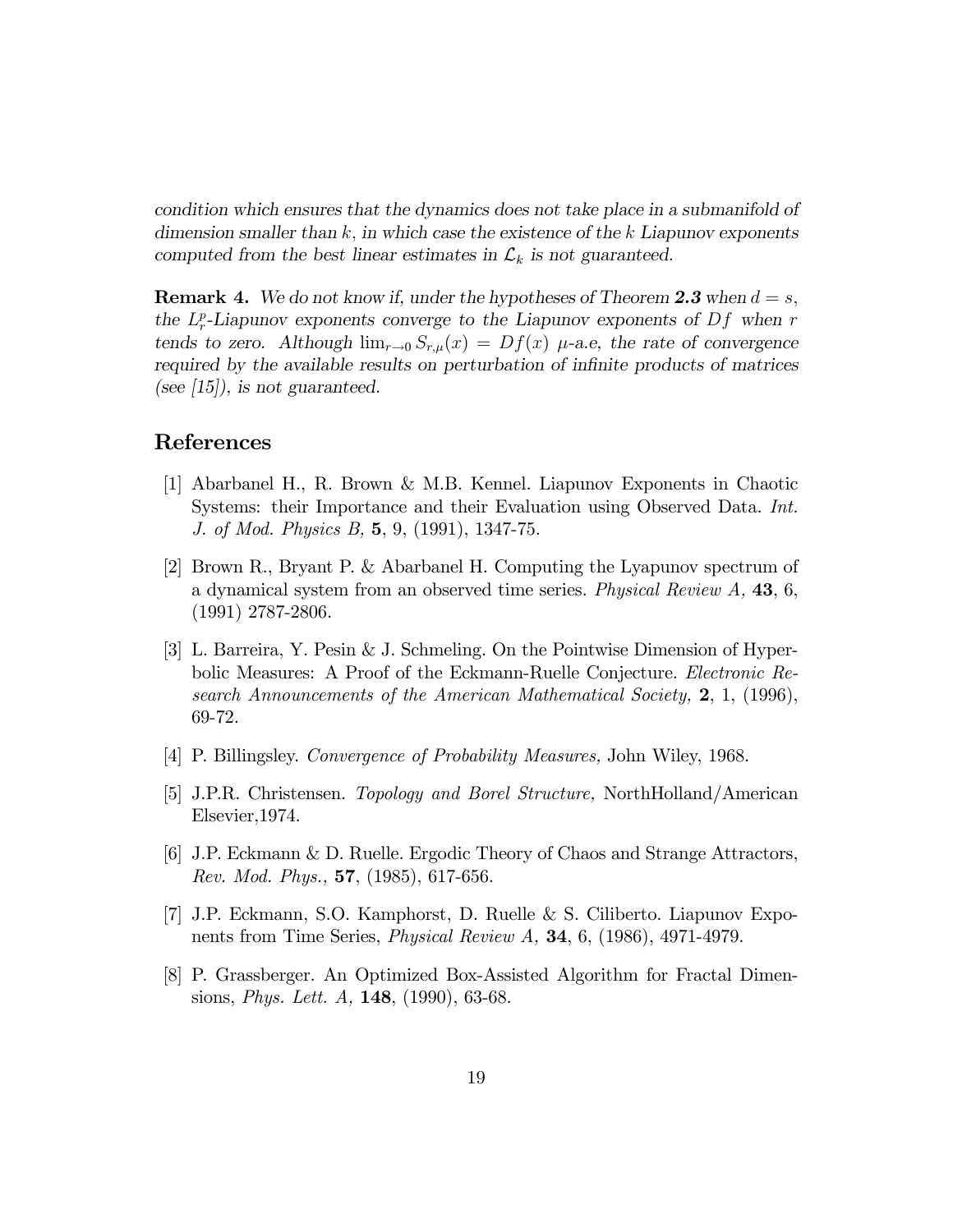condition which ensures that the dynamics does not take place in a submanifold of dimension smaller than  $k$ , in which case the existence of the k Liapunov exponents computed from the best linear estimates in  $\mathcal{L}_k$  is not guaranteed.

**Remark 4.** We do not know if, under the hypotheses of Theorem 2.3 when  $d = s$ , the  $L_r^p$ -Liapunov exponents converge to the Liapunov exponents of  $Df$  when r tends to zero. Although  $\lim_{r\to 0} S_{r,\mu}(x) = Df(x)$   $\mu$ -a.e, the rate of convergence required by the available results on perturbation of infinite products of matrices (see  $(15)$ ), is not guaranteed.

# References

- [1] Abarbanel H., R. Brown & M.B. Kennel. Liapunov Exponents in Chaotic Systems: their Importance and their Evaluation using Observed Data. Int. J. of Mod. Physics B, 5, 9, (1991), 1347-75.
- [2] Brown R., Bryant P. & Abarbanel H. Computing the Lyapunov spectrum of a dynamical system from an observed time series. Physical Review A, 43, 6, (1991) 2787-2806.
- [3] L. Barreira, Y. Pesin & J. Schmeling. On the Pointwise Dimension of Hyperbolic Measures: A Proof of the Eckmann-Ruelle Conjecture. Electronic Research Announcements of the American Mathematical Society, 2, 1, (1996), 69-72.
- [4] P. Billingsley. Convergence of Probability Measures, John Wiley, 1968.
- [5] J.P.R. Christensen. Topology and Borel Structure, NorthHolland/American Elsevier,1974.
- [6] J.P. Eckmann & D. Ruelle. Ergodic Theory of Chaos and Strange Attractors, Rev. Mod. Phys., 57, (1985), 617-656.
- [7] J.P. Eckmann, S.O. Kamphorst, D. Ruelle & S. Ciliberto. Liapunov Exponents from Time Series, Physical Review A, 34, 6, (1986), 4971-4979.
- [8] P. Grassberger. An Optimized Box-Assisted Algorithm for Fractal Dimensions, Phys. Lett. A, 148, (1990), 63-68.